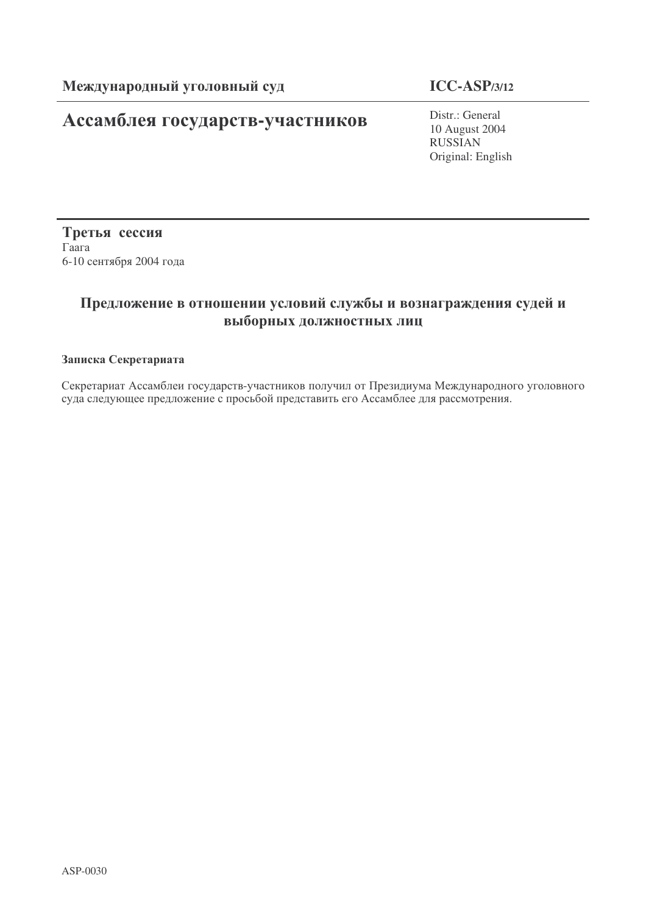# Ассамблея государств-участников

# **ICC-ASP/3/12**

Distr.: General 10 August 2004 RUSSIAN Original: English

Третья сессия  $\Gamma$ aara 6-10 сентября 2004 года

# Предложение в отношении условий службы и вознаграждения судей и выборных должностных лиц

## Записка Секретариата

Секретариат Ассамблеи государств-участников получил от Президиума Международного уголовного суда следующее предложение с просьбой представить его Ассамблее для рассмотрения.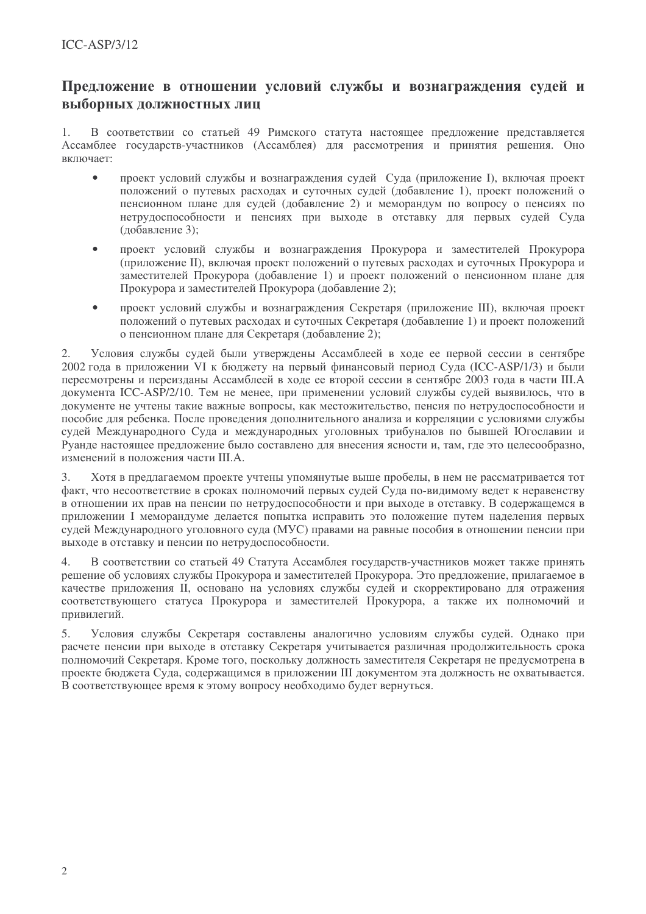# Предложение в отношении условий службы и вознаграждения судей и выборных должностных лиц

В соответствии со статьей 49 Римского статута настоящее предложение представляется  $1.$ Ассамблее государств-участников (Ассамблея) для рассмотрения и принятия решения. Оно включает:

- проект условий службы и вознаграждения судей Суда (приложение I), включая проект положений о путевых расходах и суточных судей (добавление 1), проект положений о пенсионном плане для судей (добавление 2) и меморандум по вопросу о пенсиях по нетрудоспособности и пенсиях при выходе в отставку для первых судей Суда (добавление 3);
- проект условий службы и вознаграждения Прокурора и заместителей Прокурора  $\bullet$ (приложение II), включая проект положений о путевых расходах и суточных Прокурора и заместителей Прокурора (добавление 1) и проект положений о пенсионном плане для Прокурора и заместителей Прокурора (добавление 2);
- проект условий службы и вознаграждения Секретаря (приложение III), включая проект положений о путевых расходах и суточных Секретаря (добавление 1) и проект положений о пенсионном плане для Секретаря (добавление 2);

Условия службы судей были утверждены Ассамблеей в ходе ее первой сессии в сентябре  $2.$ 2002 года в приложении VI к бюджету на первый финансовый период Суда (ICC-ASP/1/3) и были пересмотрены и переизданы Ассамблеей в ходе ее второй сессии в сентябре 2003 года в части III.А документа ICC-ASP/2/10. Тем не менее, при применении условий службы судей выявилось, что в документе не учтены такие важные вопросы, как местожительство, пенсия по нетрудоспособности и пособие для ребенка. После проведения дополнительного анализа и корреляции с условиями службы судей Международного Суда и международных уголовных трибуналов по бывшей Югославии и Руанле настоящее предложение было составлено для внесения ясности и, там, где это целесообразно, изменений в положения части III.А.

Хотя в предлагаемом проекте учтены упомянутые выше пробелы, в нем не рассматривается тот  $\mathcal{E}$ факт, что несоответствие в сроках полномочий первых судей Суда по-видимому ведет к неравенству в отношении их прав на пенсии по нетрудоспособности и при выходе в отставку. В содержащемся в приложении I меморандуме делается попытка исправить это положение путем наделения первых судей Международного уголовного суда (МУС) правами на равные пособия в отношении пенсии при выходе в отставку и пенсии по нетрудоспособности.

В соответствии со статьей 49 Статута Ассамблея государств-участников может также принять  $\overline{4}$ . решение об условиях службы Прокурора и заместителей Прокурора. Это предложение, прилагаемое в качестве приложения II, основано на условиях службы судей и скорректировано для отражения соответствующего статуса Прокурора и заместителей Прокурора, а также их полномочий и привилегий.

5. Условия службы Секретаря составлены аналогично условиям службы судей. Однако при расчете пенсии при выходе в отставку Секретаря учитывается различная продолжительность срока полномочий Секретаря. Кроме того, поскольку должность заместителя Секретаря не предусмотрена в проекте бюлжета Сула, содержащимся в приложении III локументом эта лолжность не охватывается. В соответствующее время к этому вопросу необходимо будет вернуться.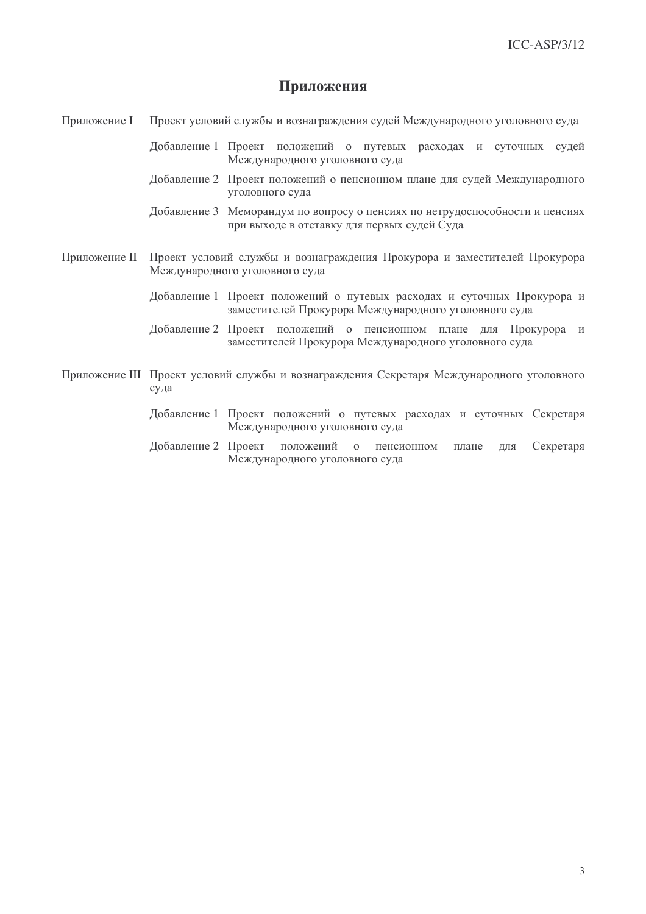## Приложения

Приложение I Проект условий службы и вознаграждения судей Международного уголовного суда

> Добавление 1 Проект положений о путевых расходах и суточных судей Международного уголовного суда

> Добавление 2 Проект положений о пенсионном плане для судей Международного уголовного суда

> Добавление 3 Меморандум по вопросу о пенсиях по нетрудоспособности и пенсиях при выходе в отставку для первых судей Суда

- Приложение II Проект условий службы и вознаграждения Прокурора и заместителей Прокурора Международного уголовного суда
	- Добавление 1 Проект положений о путевых расходах и суточных Прокурора и заместителей Прокурора Международного уголовного суда
	- Добавление 2 Проект положений о пенсионном плане для Прокурора и заместителей Прокурора Международного уголовного суда
- Приложение III Проект условий службы и вознаграждения Секретаря Международного уголовного суда
	- Добавление 1 Проект положений о путевых расходах и суточных Секретаря Международного уголовного суда
	- Добавление 2 Проект положений Секретаря о пенсионном плане ДЛЯ Международного уголовного суда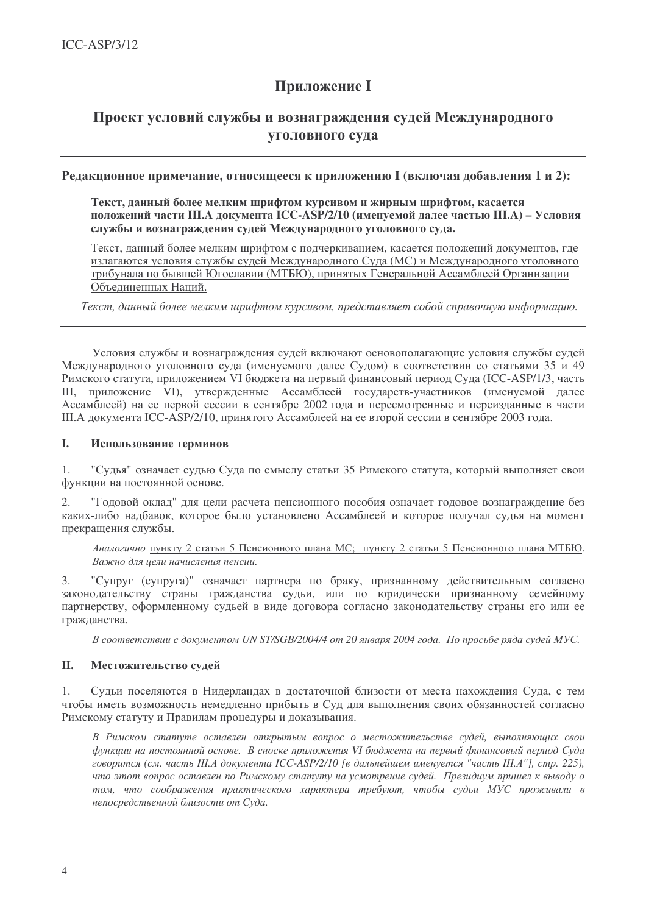# **Приложение I**

# Проект условий службы и вознаграждения судей Международного уголовного суда

## Релакционное примечание, относящееся к приложению I (включая добавления 1 и 2):

Текст, данный более мелким шрифтом курсивом и жирным шрифтом, касается положений части Ш.А локумента ICC-ASP/2/10 (именуемой далее частью Ш.А) – Условия службы и вознаграждения судей Международного уголовного суда.

Текст, данный более мелким шрифтом с подчеркиванием, касается положений документов, где излагаются условия службы судей Международного Суда (МС) и Международного уголовного трибунала по бывшей Югославии (МТБЮ), принятых Генеральной Ассамблеей Организации Объелиненных Наций.

Текст, данный более мелким шрифтом курсивом, представляет собой справочную информацию,

Условия службы и вознаграждения судей включают основополагающие условия службы судей Международного уголовного суда (именуемого далее Судом) в соответствии со статьями 35 и 49 Римского статута, приложением VI бюджета на первый финансовый период Суда (ICC-ASP/1/3, часть III, приложение VI), утвержденные Ассамблеей государств-участников (именуемой далее Ассамблеей) на ее первой сессии в сентябре 2002 года и пересмотренные и переизданные в части Ш.А документа ICC-ASP/2/10, принятого Ассамблеей на ее второй сессии в сентябре 2003 года.

#### I. Использование терминов

"Судья" означает судью Суда по смыслу статьи 35 Римского статута, который выполняет свои  $1.$ функции на постоянной основе.

"Годовой оклад" для цели расчета пенсионного пособия означает годовое вознаграждение без 2. каких-либо надбавок, которое было установлено Ассамблеей и которое получал судья на момент прекращения службы.

Аналогично пункту 2 статьи 5 Пенсионного плана МС; пункту 2 статьи 5 Пенсионного плана МТБЮ. Важно для иели начисления пенсии.

"Супруг (супруга)" означает партнера по браку, признанному действительным согласно  $\mathfrak{Z}$ . законодательству страны гражданства судьи, или по юридически признанному семейному партнерству, оформленному судьей в виде договора согласно законодательству страны его или ее гражданства.

В соответствии с документом UN ST/SGB/2004/4 от 20 января 2004 года. По просьбе ряда судей МУС.

#### **II.** Местожительство судей

 $1.$ Судьи поселяются в Нидерландах в достаточной близости от места нахождения Суда, с тем чтобы иметь возможность немедленно прибыть в Суд для выполнения своих обязанностей согласно Римскому статуту и Правилам процедуры и доказывания.

В Римском статуте оставлен открытым вопрос о местожительстве судей, выполняющих свои функции на постоянной основе. В сноске приложения VI бюджета на первый финансовый период Суда говорится (см. часть III.А документа ICC-ASP/2/10 [в дальнейшем именуется "часть III.А"], стр. 225), что этот вопрос оставлен по Римскому статуту на усмотрение судей. Президиум пришел к выводу о том, что соображения практического характера требуют, чтобы судьи МУС проживали в непосредственной близости от Суда.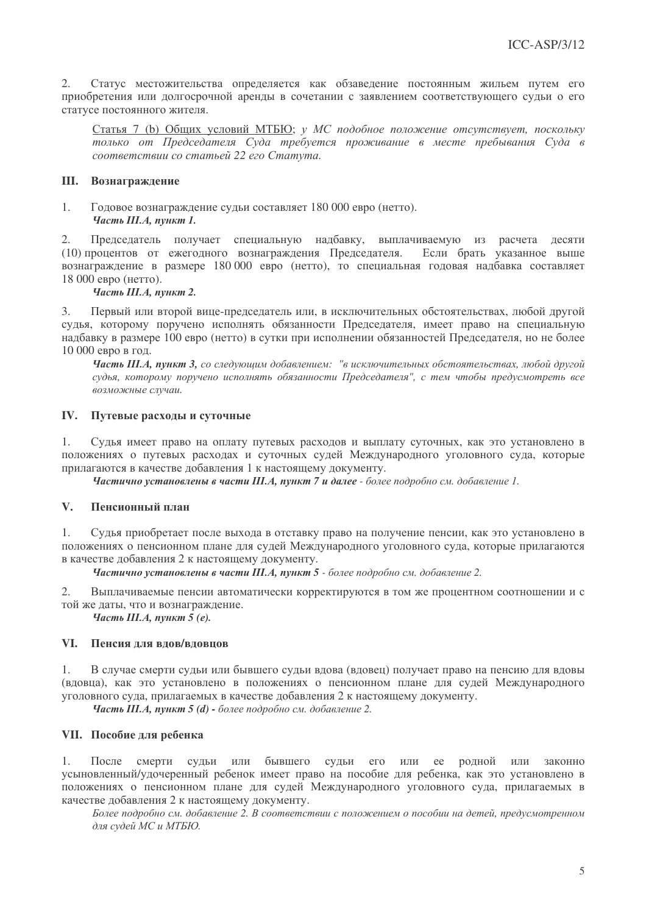$2.$ Статус местожительства определяется как обзаведение постоянным жильем путем его приобретения или долгосрочной аренды в сочетании с заявлением соответствующего судьи о его статусе постоянного жителя.

Статья 7 (b) Общих условий МТБЮ; у МС подобное положение отсутствует, поскольку только от Председателя Суда требуется проживание в месте пребывания Суда в соответствии со статьей 22 его Статута.

## Ш. Вознаграждение

 $1.$ Годовое вознаграждение судьи составляет 180 000 евро (нетто). Часть III.А. пункт 1.

 $2.$ Председатель получает специальную надбавку, выплачиваемую из расчета десяти Если брать указанное выше (10) процентов от ежегодного вознаграждения Председателя. вознаграждение в размере 180 000 евро (нетто), то специальная годовая надбавка составляет 18 000 евро (нетто).

### Часть III.А. пункт 2.

Первый или второй вице-председатель или, в исключительных обстоятельствах, любой другой  $\mathcal{E}$ судья, которому поручено исполнять обязанности Председателя, имеет право на специальную надбавку в размере 100 евро (нетто) в сутки при исполнении обязанностей Председателя, но не более 10 000 евро в год.

Часть Ш.А. пункт 3, со следующим добавлением: "в исключительных обстоятельствах, любой другой судья, которому поручено исполнять обязанности Председателя", с тем чтобы предусмотреть все возможные случаи.

#### IV. Путевые расходы и суточные

Судья имеет право на оплату путевых расходов и выплату суточных, как это установлено в 1. положениях о путевых расходах и суточных судей Международного уголовного суда, которые прилагаются в качестве добавления 1 к настоящему документу.

Частично установлены в части III.А, пункт 7 и далее - более подробно см. добавление 1.

#### $V_{\star}$ Пенсионный план

 $1<sub>1</sub>$ Судья приобретает после выхода в отставку право на получение пенсии, как это установлено в положениях о пенсионном плане для судей Международного уголовного суда, которые прилагаются в качестве добавления 2 к настоящему документу.

Частично установлены в части III.А, пункт 5 - более подробно см. добавление 2.

 $2.$ Выплачиваемые пенсии автоматически корректируются в том же процентном соотношении и с той же даты, что и вознаграждение.

Часть III.А, пункт 5 (е).

### VI. Пенсия для вдов/вдовцов

 $1.$ В случае смерти судьи или бывшего судьи вдова (вдовец) получает право на пенсию для вдовы (вдовца), как это установлено в положениях о пенсионном плане для судей Международного уголовного суда, прилагаемых в качестве добавления 2 к настоящему документу.

Часть III.А, пункт 5 (d) - более подробно см. добавление 2.

## VII. Пособие для ребенка

1. После смерти судьи или бывшего судьи  $e_{\Gamma}$ или ее родной или законно усыновленный/удочеренный ребенок имеет право на пособие для ребенка, как это установлено в положениях о пенсионном плане для судей Международного уголовного суда, прилагаемых в качестве добавления 2 к настоящему документу.

Более подробно см. добавление 2. В соответствии с положением о пособии на детей, предусмотренном для судей МС и МТБЮ.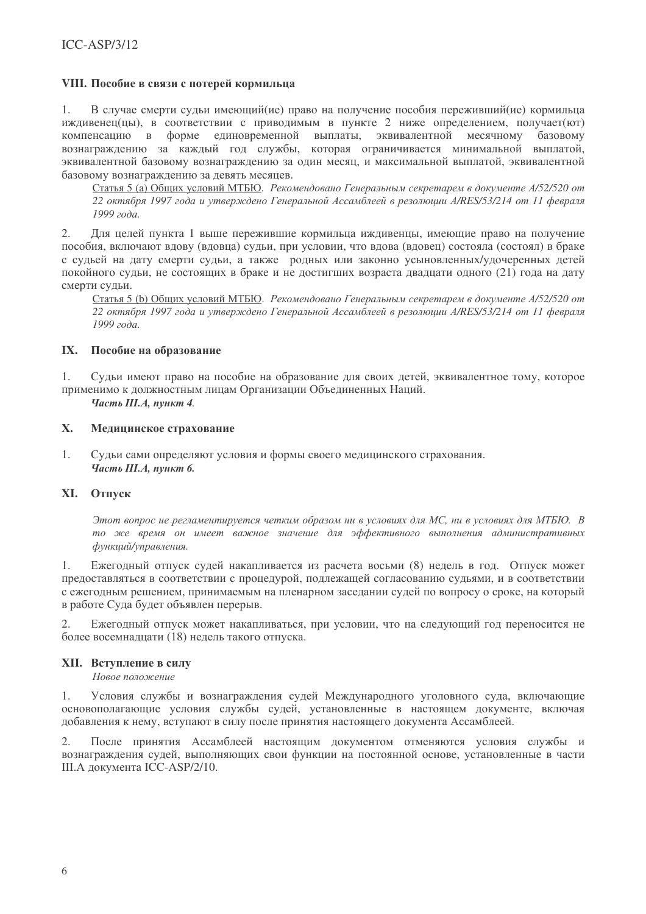## VIII. Пособие в связи с потерей кормильца

 $1<sub>1</sub>$ В случае смерти сульи имеющий (ие) право на получение пособия переживший (ие) кормильца иждивенец(цы), в соответствии с приводимым в пункте 2 ниже определением, получает(ют) компенсацию в форме единовременной выплаты, эквивалентной месячному базовому вознаграждению за каждый год службы, которая ограничивается минимальной выплатой, эквивалентной базовому вознагражлению за один месяц, и максимальной выплатой, эквивалентной базовому вознаграждению за девять месяцев.

Статья 5 (а) Общих условий МТБЮ. Рекомендовано Генеральным секретарем в документе А/52/520 от 22 октября 1997 года и утверждено Генеральной Ассамблеей в резолюции A/RES/53/214 от 11 февраля 1999 года.

 $2.$ Лля целей пункта 1 выше пережившие кормильца иждивенцы, имеющие право на получение пособия, включают влову (вловца) сульи, при условии, что влова (вловец) состояла (состоял) в браке с сульей на лату смерти сульи, а также ролных или законно усыновленных/удочеренных летей покойного сульи, не состоящих в браке и не лостигших возраста лвалцати одного (21) года на дату смерти сульи.

Статья 5 (b) Обших условий МТБЮ. Рекомендовано Генеральным секретарем в документе А/52/520 от 22 октября 1997 года и утверждено Генеральной Ассамблеей в резолюции A/RES/53/214 от 11 февраля 1999 года.

### IX. Пособие на образование

 $1<sub>1</sub>$ Сульи имеют право на пособие на образование лля своих летей, эквивалентное тому, которое применимо к должностным лицам Организации Объединенных Наций.

Часть III.А, пункт 4.

#### X. Медицинское страхование

 $1.$ Судьи сами определяют условия и формы своего медицинского страхования. Часть III.А, пункт 6.

## **XI.** Отпуск

Этот вопрос не регламентируется четким образом ни в условиях для МС, ни в условиях для МТБЮ. В то же время он имеет важное значение для эффективного выполнения административных функций/управления.

 $1.$ Ежегодный отпуск судей накапливается из расчета восьми (8) недель в год. Отпуск может предоставляться в соответствии с процедурой, подлежащей согласованию судьями, и в соответствии с ежегодным решением, принимаемым на пленарном заседании судей по вопросу о сроке, на который в работе Суда будет объявлен перерыв.

Ежегодный отпуск может накапливаться, при условии, что на следующий год переносится не более восемнадцати (18) недель такого отпуска.

### **XII.** Вступление в силу

Новое положение

 $1.$ Условия службы и вознаграждения судей Международного уголовного суда, включающие основополагающие условия службы судей, установленные в настоящем документе, включая добавления к нему, вступают в силу после принятия настоящего документа Ассамблеей.

После принятия Ассамблеей настоящим документом отменяются условия службы и  $2.$ вознаграждения судей, выполняющих свои функции на постоянной основе, установленные в части Ш.А документа ICC-ASP/2/10.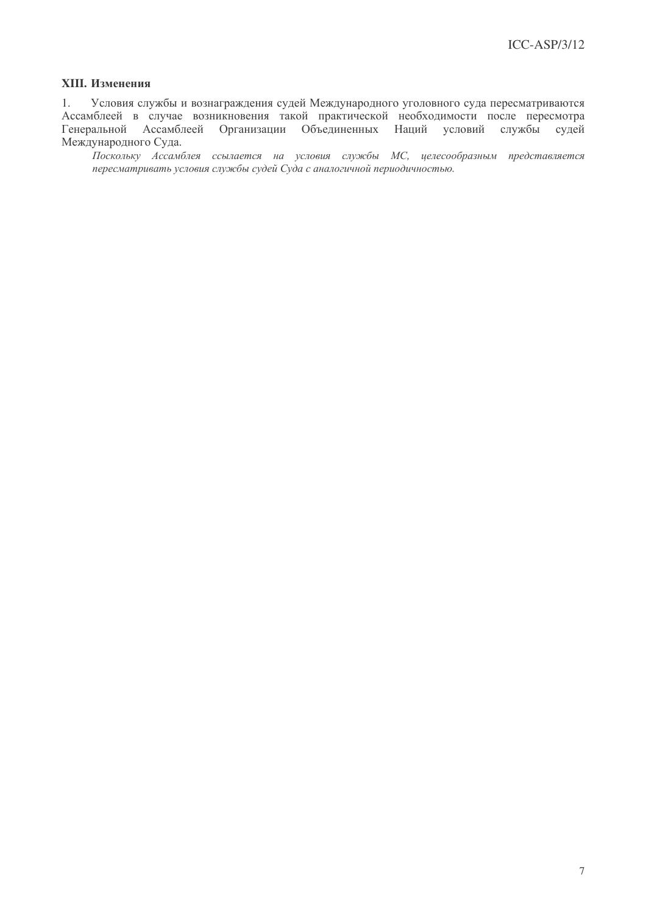## XIII. Изменения

 $1.$ Условия службы и вознаграждения судей Международного уголовного суда пересматриваются Ассамблеей в случае возникновения такой практической необходимости после пересмотра Генеральной Ассамблеей Организации Объединенных Наций условий службы судей Международного Суда.

.<br>Поскольку Ассамблея ссылается на условия службы МС, целесообразным представляется пересматривать условия службы судей Суда с аналогичной периодичностью.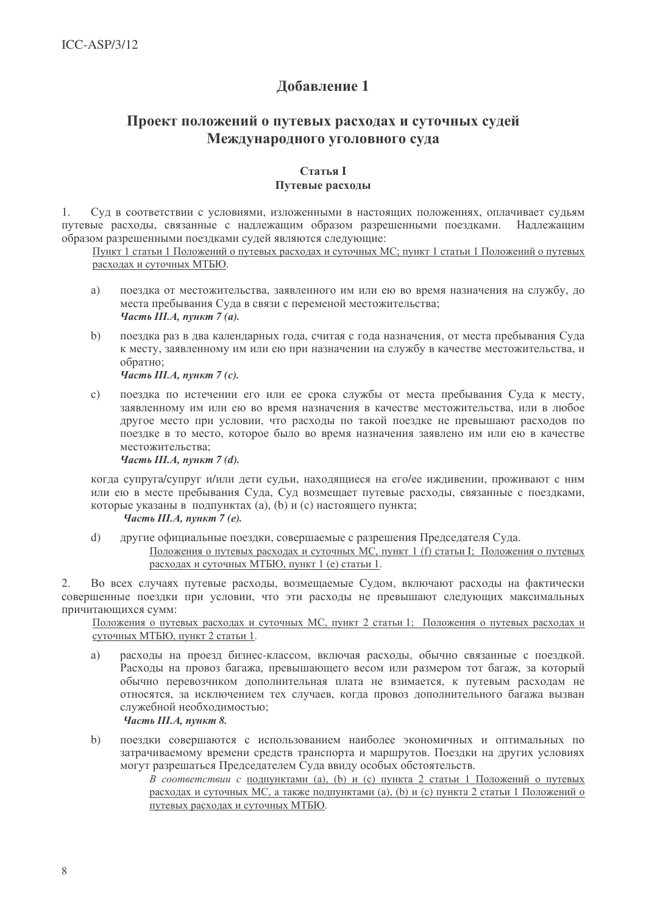# Добавление 1

# Проект положений о путевых расходах и суточных судей Международного уголовного суда

## **Статья I** Путевые расхолы

Суд в соответствии с условиями, изложенными в настоящих положениях, оплачивает судьям  $1.$ путевые расхолы, связанные с наллежащим образом разрешенными поезлками. Наллежашим образом разрешенными поездками судей являются следующие:

Пункт 1 статьи 1 Положений о путевых расходах и суточных МС; пункт 1 статьи 1 Положений о путевых расходах и суточных МТБЮ.

- $a)$ поездка от местожительства, заявленного им или ею во время назначения на службу, до места пребывания Суда в связи с переменой местожительства; Часть III.А, пункт 7 (а).
- поездка раз в два календарных года, считая с года назначения, от места пребывания Суда  $b)$ к месту, заявленному им или ею при назначении на службу в качестве местожительства, и обратно:

Часть III.А. пункт 7 (с).

 $\mathbf{c}$ ) поездка по истечении его или ее срока службы от места пребывания Суда к месту, заявленному им или ею во время назначения в качестве местожительства, или в любое другое место при условии, что расходы по такой поездке не превышают расходов по поездке в то место, которое было во время назначения заявлено им или ею в качестве местожительства:

Часть III.А, пункт 7 (d).

когда супруга/супруг и/или дети судьи, находящиеся на его/ее иждивении, проживают с ним или ею в месте пребывания Суда, Суд возмещает путевые расходы, связанные с поездками, которые указаны в подпунктах (a), (b) и (c) настоящего пункта;

## Часть III.А. пункт  $7(e)$ .

другие официальные поездки, совершаемые с разрешения Председателя Суда.  $\overline{d}$ Положения о путевых расходах и суточных МС, пункт 1 (f) статьи I; Положения о путевых расходах и суточных МТБЮ, пункт 1 (е) статьи 1.

Во всех случаях путевые расходы, возмещаемые Судом, включают расходы на фактически 2. совершенные поездки при условии, что эти расходы не превышают следующих максимальных причитающихся сумм:

Положения о путевых расходах и суточных МС, пункт 2 статьи 1; Положения о путевых расходах и суточных МТБЮ, пункт 2 статьи 1.

- расходы на проезд бизнес-классом, включая расходы, обычно связанные с поездкой. a) Расходы на провоз багажа, превышающего весом или размером тот багаж, за который обычно перевозчиком дополнительная плата не взимается, к путевым расходам не относятся, за исключением тех случаев, когда провоз дополнительного багажа вызван служебной необходимостью; Часть III.А, пункт 8.
- $b)$ поездки совершаются с использованием наиболее экономичных и оптимальных по затрачиваемому времени средств транспорта и маршрутов. Поездки на других условиях могут разрешаться Председателем Суда ввиду особых обстоятельств.
	- В соответствии с подпунктами (а), (b) и (c) пункта 2 статьи 1 Положений о путевых расходах и суточных МС, а также подпунктами (а), (b) и (с) пункта 2 статьи 1 Положений о путевых расходах и суточных МТБЮ.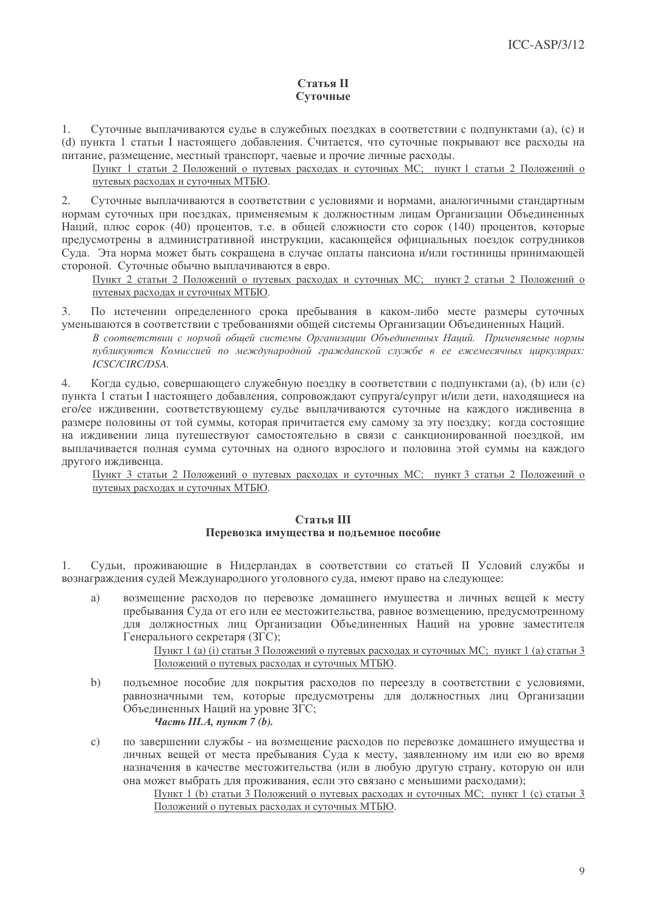## Статья II Суточные

Суточные выплачиваются судье в служебных поездках в соответствии с подпунктами (а), (с) и  $\mathbf{1}$ (d) пункта 1 статьи I настоящего добавления. Считается, что суточные покрывают все расходы на питание, размешение, местный транспорт, чаевые и прочие личные расходы.

Пункт 1 статьи 2 Положений о путевых расходах и суточных МС; пункт 1 статьи 2 Положений о путевых расходах и суточных МТБЮ.

Суточные выплачиваются в соответствии с условиями и нормами, аналогичными стандартным  $2.$ нормам суточных при поездках, применяемым к должностным дицам Организации Объединенных Наций, плюс сорок (40) процентов, т.е. в общей сложности сто сорок (140) процентов, которые предусмотрены в административной инструкции, касающейся официальных поездок сотрудников Сула. Эта норма может быть сокрашена в случае оплаты пансиона и/или гостиницы принимающей стороной. Суточные обычно выплачиваются в евро.

Пункт 2 статьи 2 Положений о путевых расходах и суточных МС; пункт 2 статьи 2 Положений о путевых расходах и суточных МТБЮ.

По истечении определенного срока пребывания в каком-либо месте размеры суточных  $\mathcal{E}$ уменьшаются в соответствии с требованиями общей системы Организации Объединенных Наций.

В соответствии с нормой общей системы Организации Объединенных Наций. Применяемые нормы публикуются Комиссией по международной гражданской службе в ее ежемесячных ииркулярах: **ICSC/CIRC/DSA.** 

Когда судью, совершающего служебную поездку в соответствии с подпунктами (а), (b) или (с) 4. пункта 1 статьи I настоящего добавления, сопровождают супруга/супруг и/или дети, находящиеся на его/ее иждивении, соответствующему судье выплачиваются суточные на каждого иждивенца в размере половины от той суммы, которая причитается ему самому за эту поездку; когда состоящие на иждивении лица путешествуют самостоятельно в связи с санкционированной поездкой, им выплачивается полная сумма суточных на одного взрослого и половина этой суммы на каждого другого иждивенца.

Пункт 3 статьи 2 Положений о путевых расходах и суточных МС; пункт 3 статьи 2 Положений о путевых расходах и суточных МТБЮ.

### Статья III Перевозка имущества и подъемное пособие

Судьи, проживающие в Нидерландах в соответствии со статьей II Условий службы и 1. вознаграждения судей Международного уголовного суда, имеют право на следующее:

 $a)$ возмещение расходов по перевозке домашнего имущества и личных вещей к месту пребывания Суда от его или ее местожительства, равное возмещению, предусмотренному для должностных лиц Организации Объединенных Наций на уровне заместителя Генерального секретаря (ЗГС);

> Пункт 1 (а) (і) статьи 3 Положений о путевых расходах и суточных МС; пункт 1 (а) статьи 3 Положений о путевых расходах и суточных МТБЮ.

подъемное пособие для покрытия расходов по переезду в соответствии с условиями,  $b)$ равнозначными тем, которые предусмотрены для должностных лиц Организации Объединенных Наций на уровне ЗГС;

Часть III.А, пункт 7  $(b)$ .

по завершении службы - на возмещение расходов по перевозке домашнего имущества и  $\mathbf{c})$ личных вещей от места пребывания Суда к месту, заявленному им или ею во время назначения в качестве местожительства (или в любую другую страну, которую он или она может выбрать для проживания, если это связано с меньшими расходами);

Пункт 1 (b) статьи 3 Положений о путевых расходах и суточных МС; пункт 1 (c) статьи 3 Положений о путевых расходах и суточных МТБЮ.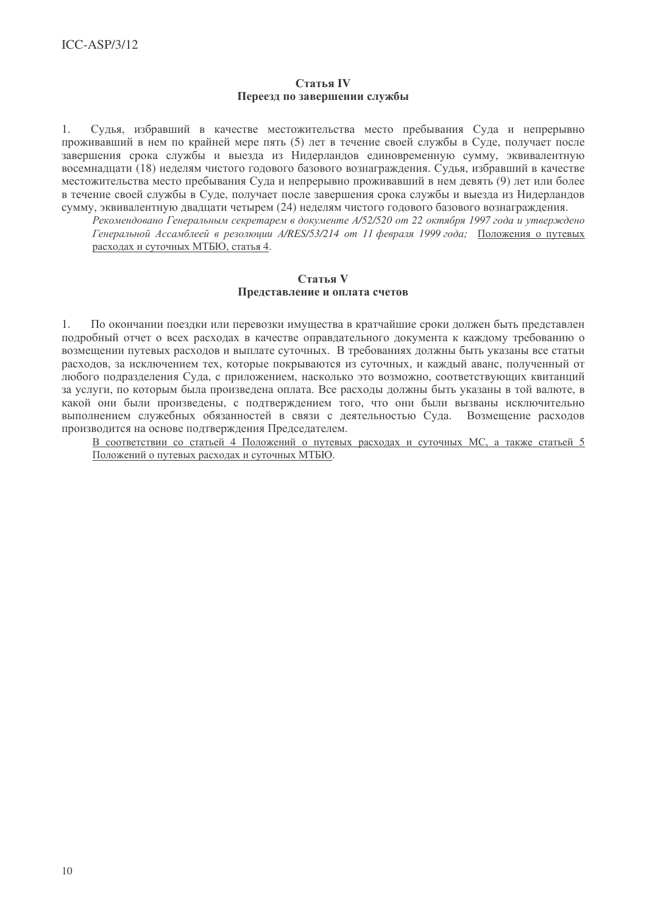### Статья IV Переезд по завершении службы

Судья, избравший в качестве местожительства место пребывания Суда и непрерывно  $\mathbf{1}$ проживавший в нем по крайней мере пять (5) лет в течение своей службы в Суде, получает после завершения срока службы и выезда из Нидерландов единовременную сумму, эквивалентную восемналиати (18) неделям чистого годового базового вознаграждения. Судья, избравший в качестве местожительства место пребывания Суда и непрерывно проживавший в нем девять (9) лет или более в течение своей службы в Суде, получает после завершения срока службы и выезда из Нидерландов сумму, эквивалентную двадцати четырем (24) неделям чистого годового базового вознаграждения.

.<br>Рекомендовано Генеральным секретарем в документе A/52/520 от 22 октября 1997 года и утверждено Генеральной Ассамблеей в резолюции A/RES/53/214 от 11 февраля 1999 года: Положения о путевых расходах и суточных МТБЮ, статья 4.

### Статья V Представление и оплата счетов

По окончании поездки или перевозки имущества в кратчайшие сроки должен быть представлен  $1<sub>1</sub>$ подробный отчет о всех расходах в качестве оправдательного документа к каждому требованию о возмещении путевых расходов и выплате суточных. В требованиях должны быть указаны все статьи расходов, за исключением тех, которые покрываются из суточных, и каждый аванс, полученный от любого подразделения Суда, с приложением, насколько это возможно, соответствующих квитанций за услуги, по которым была произвелена оплата. Все расхолы должны быть указаны в той валюте, в какой они были произведены, с подтверждением того, что они были вызваны исключительно выполнением служебных обязанностей в связи с деятельностью Суда. Возмещение расходов производится на основе подтверждения Председателем.

В соответствии со статьей 4 Положений о путевых расходах и суточных МС, а также статьей 5 Положений о путевых расходах и суточных МТБЮ.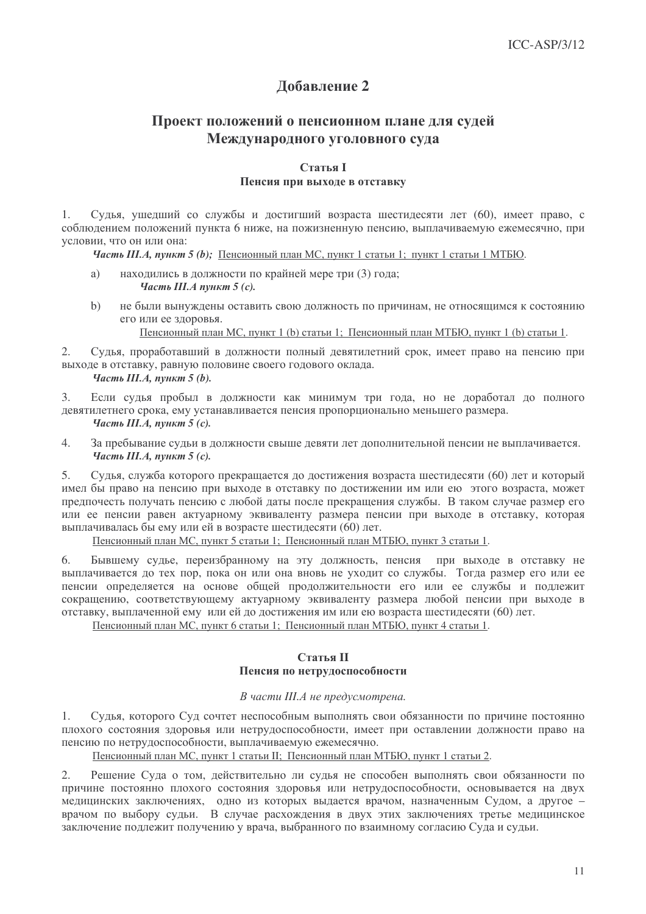# Добавление 2

# Проект положений о пенсионном плане для судей Международного уголовного суда

## **Статья I** Пенсия при выходе в отставку

1. Судья, ушедший со службы и достигший возраста шестидесяти лет (60), имеет право, с соблюдением положений пункта 6 ниже, на пожизненную пенсию, выплачиваемую ежемесячно, при условии, что он или она:

Часть Ш.А, пункт 5 (b); Пенсионный план МС, пункт 1 статьи 1; пункт 1 статьи 1 МТБЮ.

- находились в должности по крайней мере три (3) года; a) Часть III.А пункт 5 (с).
- $b)$ не были вынуждены оставить свою должность по причинам, не относящимся к состоянию его или ее здоровья.

Пенсионный план МС, пункт 1 (b) статьи 1; Пенсионный план МТБЮ, пункт 1 (b) статьи 1.

 $2.$ Судья, проработавший в должности полный девятилетний срок, имеет право на пенсию при выходе в отставку, равную половине своего годового оклада.

## Часть III.А, пункт  $5(b)$ .

Если судья пробыл в должности как минимум три года, но не доработал до полного  $\overline{3}$ . девятилетнего срока, ему устанавливается пенсия пропорционально меньшего размера. Часть III. А. пункт 5  $(c)$ .

 $\overline{4}$ За пребывание судьи в должности свыше девяти лет дополнительной пенсии не выплачивается. Часть III.А, пункт 5  $(c)$ .

 $5<sub>1</sub>$ Судья, служба которого прекращается до достижения возраста шестидесяти (60) лет и который имел бы право на пенсию при выходе в отставку по достижении им или ею этого возраста, может предпочесть получать пенсию с любой даты после прекращения службы. В таком случае размер его или ее пенсии равен актуарному эквиваленту размера пенсии при выходе в отставку, которая выплачивалась бы ему или ей в возрасте шестидесяти (60) лет.

Пенсионный план МС, пункт 5 статьи 1; Пенсионный план МТБЮ, пункт 3 статьи 1.

Бывшему судье, переизбранному на эту должность, пенсия при выходе в отставку не 6. выплачивается до тех пор, пока он или она вновь не уходит со службы. Тогда размер его или ее пенсии определяется на основе общей продолжительности его или ее службы и подлежит сокращению, соответствующему актуарному эквиваленту размера любой пенсии при выходе в отставку, выплаченной ему или ей до достижения им или ею возраста шестидесяти (60) лет.

Пенсионный план МС, пункт 6 статьи 1; Пенсионный план МТБЮ, пункт 4 статьи 1.

## **Статья II** Пенсия по нетрудоспособности

### В части III.А не предусмотрена.

Судья, которого Суд сочтет неспособным выполнять свои обязанности по причине постоянно  $1.$ плохого состояния здоровья или нетрудоспособности, имеет при оставлении должности право на пенсию по нетрудоспособности, выплачиваемую ежемесячно.

Пенсионный план МС, пункт 1 статьи II; Пенсионный план МТБЮ, пункт 1 статьи 2.

Решение Суда о том, действительно ли судья не способен выполнять свои обязанности по 2. причине постоянно плохого состояния здоровья или нетрудоспособности, основывается на двух медицинских заключениях, одно из которых выдается врачом, назначенным Судом, а другое врачом по выбору судьи. В случае расхождения в двух этих заключениях третье медицинское заключение подлежит получению у врача, выбранного по взаимному согласию Суда и судьи.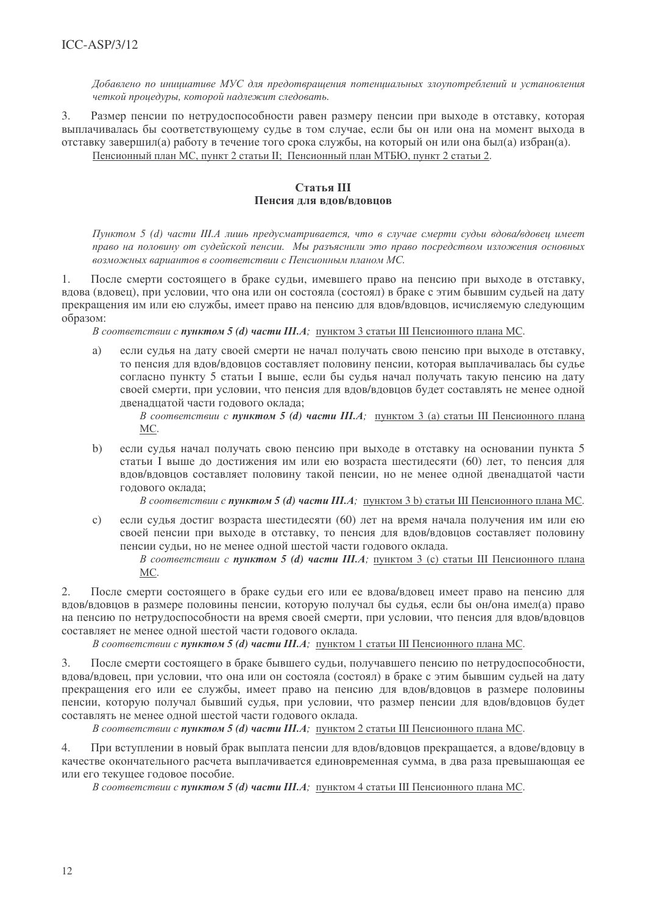Добавлено по инициативе МУС для предотвращения потенциальных злоупотреблений и установления четкой проиедуры, которой надлежит следовать.

 $\overline{3}$ . Размер пенсии по нетрудоспособности равен размеру пенсии при выходе в отставку, которая выплачивалась бы соответствующему судье в том случае, если бы он или она на момент выхода в отставку завершил(а) работу в течение того срока службы, на который он или она был(а) избран(а). Пенсионный план МС, пункт 2 статьи II; Пенсионный план МТБЮ, пункт 2 статьи 2.

## $C$ Tatla  $III$ Пенсия лля влов/вловнов

Пунктом 5 (d) части Ш.А лишь предусматривается, что в случае смерти судьи вдова/вдовеи имеет право на половину от судейской пенсии. Мы разъяснили это право посредством изложения основных возможных вариантов в соответствии с Пенсионным планом МС.

После смерти состоящего в браке судьи, имевшего право на пенсию при выходе в отставку,  $1<sub>1</sub>$ влова (вловец), при условии, что она или он состояла (состоял) в браке с этим бывшим сульей на лату прекрашения им или ею службы, имеет право на пенсию лля влов/вловнов, исчисляемую следующим  $0.00000000$ 

В соответствии с пунктом 5 (d) части III.А; пунктом 3 статьи III Пенсионного плана МС.

если судья на дату своей смерти не начал получать свою пенсию при выходе в отставку,  $a)$ то пенсия для вдов/вдовцов составляет половину пенсии, которая выплачивалась бы судье согласно пункту 5 статьи I выше, если бы судья начал получать такую пенсию на дату своей смерти, при условии, что пенсия для вдов/вдовцов будет составлять не менее одной двенадцатой части годового оклада;

В соответствии с пунктом 5 (d) части III.А; пунктом 3 (a) статьи III Пенсионного плана MC.

 $b)$ если судья начал получать свою пенсию при выходе в отставку на основании пункта 5 статьи I выше до достижения им или ею возраста шестидесяти (60) лет, то пенсия для вдов/вдовцов составляет половину такой пенсии, но не менее одной двенадцатой части годового оклада;

В соответствии с пунктом 5 (d) части III.А; пунктом 3 b) статьи III Пенсионного плана МС.

 $\mathbf{c}$ ) если судья достиг возраста шестидесяти (60) лет на время начала получения им или ею своей пенсии при выходе в отставку, то пенсия для вдов/вдовцов составляет половину пенсии судьи, но не менее одной шестой части годового оклада.

В соответствии с пунктом 5 (d) части III.А; пунктом 3 (c) статьи III Пенсионного плана MC.

После смерти состоящего в браке судьи его или ее вдова/вдовец имеет право на пенсию для  $2.$ вдов/вдовцов в размере половины пенсии, которую получал бы судья, если бы он/она имел(а) право на пенсию по нетрудоспособности на время своей смерти, при условии, что пенсия для вдов/вдовцов составляет не менее одной шестой части годового оклада.

В соответствии с пунктом 5 (d) части III.А; пунктом 1 статьи III Пенсионного плана МС.

 $3.$ После смерти состоящего в браке бывшего судьи, получавшего пенсию по нетрудоспособности, вдова/вдовец, при условии, что она или он состояла (состоял) в браке с этим бывшим судьей на дату прекращения его или ее службы, имеет право на пенсию для вдов/вдовцов в размере половины пенсии, которую получал бывший судья, при условии, что размер пенсии для вдов/вдовцов будет составлять не менее одной шестой части годового оклада.

В соответствии с пунктом 5 (d) части III.А; пунктом 2 статьи III Пенсионного плана МС.

 $4.$ При вступлении в новый брак выплата пенсии для вдов/вдовцов прекращается, а вдове/вдовцу в качестве окончательного расчета выплачивается единовременная сумма, в два раза превышающая ее или его текущее годовое пособие.

В соответствии с пунктом 5 (d) части III.А; пунктом 4 статьи III Пенсионного плана МС.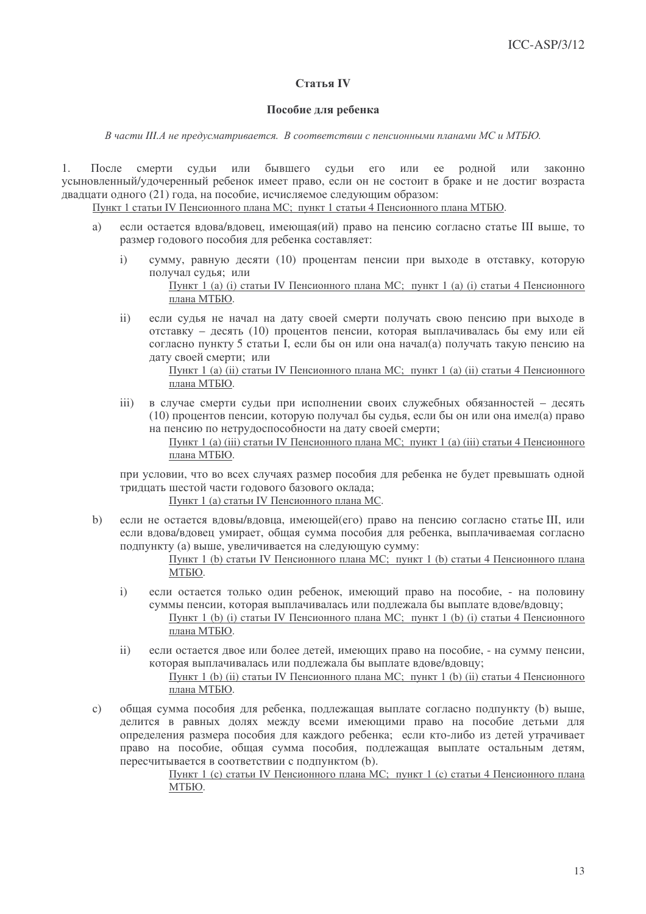## Статья IV

### Пособие для ребенка

В части III.А не предусматривается. В соответствии с пенсионными планами МС и МТБЮ.

После смерти судьи ИЛИ бывшего судьи его или ее родной или законно  $1<sub>1</sub>$ усыновленный/удочеренный ребенок имеет право, если он не состоит в браке и не достиг возраста двадцати одного (21) года, на пособие, исчисляемое следующим образом:

Пункт 1 статьи IV Пенсионного плана МС; пункт 1 статьи 4 Пенсионного плана МТБЮ.

- если остается вдова/вдовец, имеющая(ий) право на пенсию согласно статье III выше, то  $\overline{a}$ размер годового пособия для ребенка составляет:
	- $\mathbf{i}$ сумму, равную десяти (10) процентам пенсии при выходе в отставку, которую получал сулья: или Пункт 1 (а) (і) статьи IV Пенсионного плана МС; пункт 1 (а) (і) статьи 4 Пенсионного плана МТБЮ.
	- $\mathbf{ii}$ если сулья не начал на лату своей смерти получать свою пенсию при выходе в отставку - десять (10) процентов пенсии, которая выплачивалась бы ему или ей согласно пункту 5 статьи I, если бы он или она начал(а) получать такую пенсию на лату своей смерти: или

Пункт 1 (а) (ii) статьи IV Пенсионного плана МС; пункт 1 (а) (ii) статьи 4 Пенсионного плана МТБЮ.

 $\overline{111}$ в случае смерти судьи при исполнении своих служебных обязанностей - десять (10) процентов пенсии, которую получал бы судья, если бы он или она имел(а) право на пенсию по нетрудоспособности на дату своей смерти;

> Пункт 1 (а) (iii) статьи IV Пенсионного плана МС; пункт 1 (а) (iii) статьи 4 Пенсионного плана МТБЮ.

при условии, что во всех случаях размер пособия для ребенка не будет превышать одной тридцать шестой части годового базового оклада;

Пункт 1 (а) статьи IV Пенсионного плана МС.

 $b)$ если не остается вдовы/вдовца, имеющей(его) право на пенсию согласно статье III, или если вдова/вдовец умирает, общая сумма пособия для ребенка, выплачиваемая согласно подпункту (а) выше, увеличивается на следующую сумму:

> Пункт 1 (b) статьи IV Пенсионного плана МС; пункт 1 (b) статьи 4 Пенсионного плана МТБЮ.

- $\mathbf{i}$ если остается только один ребенок, имеющий право на пособие, - на половину суммы пенсии, которая выплачивалась или подлежала бы выплате вдове/вдовцу; Пункт 1 (b) (i) статьи IV Пенсионного плана МС; пункт 1 (b) (i) статьи 4 Пенсионного плана МТБЮ.
- $\mathbf{ii}$ если остается двое или более детей, имеющих право на пособие, - на сумму пенсии, которая выплачивалась или подлежала бы выплате вдове/вдовцу;

Пункт 1 (b) (ii) статьи IV Пенсионного плана МС; пункт 1 (b) (ii) статьи 4 Пенсионного плана МТБЮ.

общая сумма пособия для ребенка, подлежащая выплате согласно подпункту (b) выше,  $\mathbf{c})$ делится в равных долях между всеми имеющими право на пособие детьми для определения размера пособия для каждого ребенка; если кто-либо из детей утрачивает право на пособие, общая сумма пособия, подлежащая выплате остальным детям, пересчитывается в соответствии с подпунктом (b).

Пункт 1 (с) статьи IV Пенсионного плана МС; пункт 1 (с) статьи 4 Пенсионного плана МТБЮ.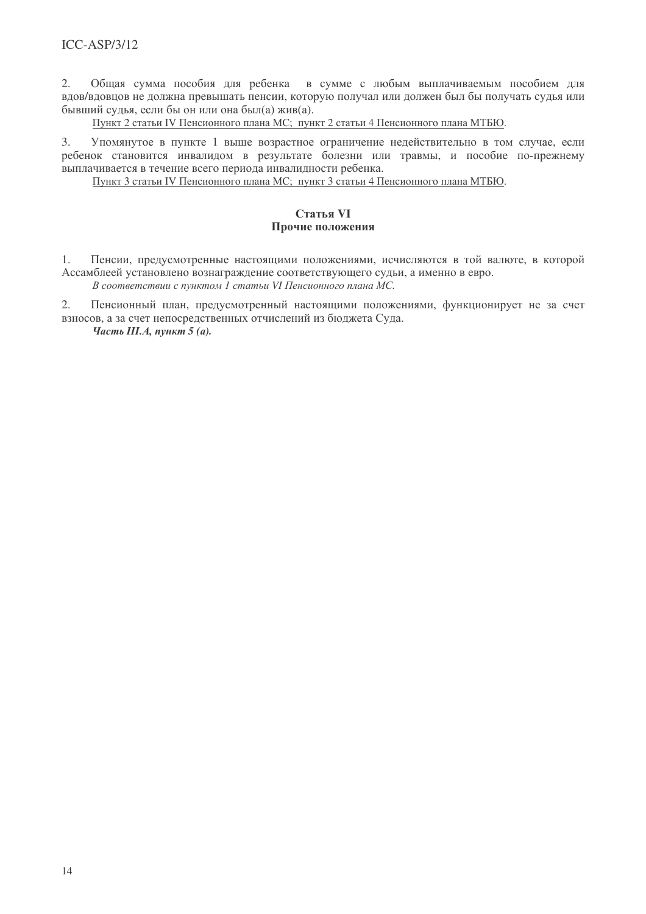Общая сумма пособия для ребенка в сумме с любым выплачиваемым пособием для  $2.$ вдов/вдовцов не должна превышать пенсии, которую получал или должен был бы получать судья или бывший сулья, если бы он или она был(а) жив(а).

Пункт 2 статьи IV Пенсионного плана МС; пункт 2 статьи 4 Пенсионного плана МТБЮ.

Упомянутое в пункте 1 выше возрастное ограничение недействительно в том случае, если  $\mathcal{E}$ ребенок становится инвалидом в результате болезни или травмы, и пособие по-прежнему выплачивается в течение всего периода инвалидности ребенка.

Пункт 3 статьи IV Пенсионного плана МС; пункт 3 статьи 4 Пенсионного плана МТБЮ.

## Статья VI Прочие положения

 $1<sub>1</sub>$ Пенсии, предусмотренные настоящими положениями, исчисляются в той валюте, в которой Ассамблеей установлено вознаграждение соответствующего судьи, а именно в евро.

В соответствии с пунктом 1 статьи VI Пенсионного плана МС.

 $\overline{2}$ . Пенсионный план, предусмотренный настоящими положениями, функционирует не за счет взносов, а за счет непосредственных отчислений из бюджета Суда.

Часть III.А, пункт  $5(a)$ .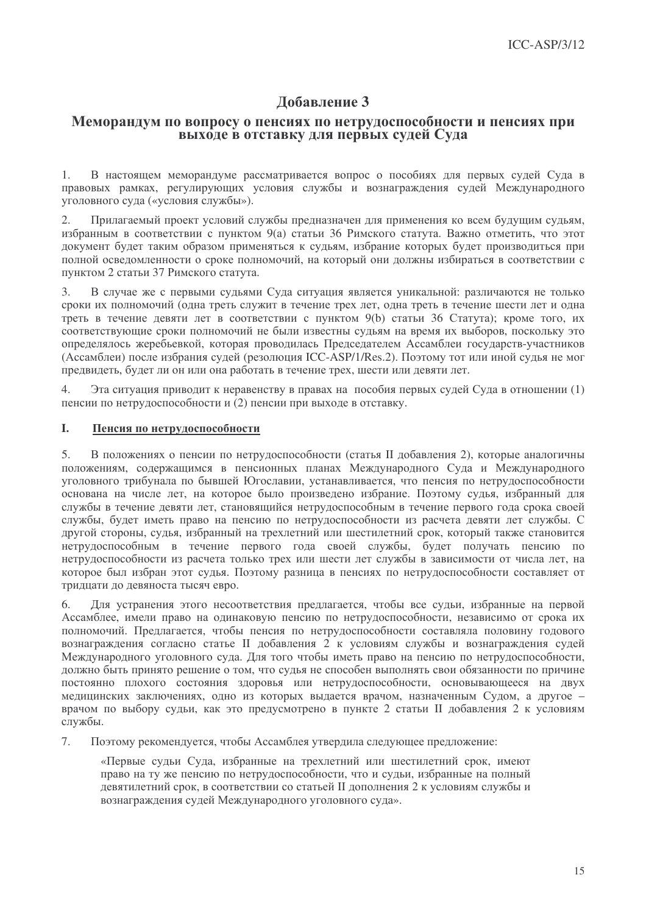# Добавление 3

## Меморандум по вопросу о пенсиях по нетрудоспособности и пенсиях при выходе в отставку для первых судей Суда

В настоящем меморандуме рассматривается вопрос о пособиях для первых судей Суда в  $\mathbf{1}$ правовых рамках, регулирующих условия службы и вознаграждения судей Международного уголовного суда («условия службы»).

 $2.$ Прилагаемый проект условий службы предназначен для применения ко всем будущим судьям, избранным в соответствии с пунктом 9(а) статьи 36 Римского статута. Важно отметить, что этот локумент будет таким образом применяться к судьям, избрание которых будет производиться при полной освеломленности о сроке полномочий, на который они лолжны избираться в соответствии с пунктом 2 статьи 37 Римского статута.

В случае же с первыми сульями Сула ситуация является уникальной: различаются не только  $3.$ сроки их полномочий (олна треть служит в течение трех лет, олна треть в течение шести лет и олна треть в течение девяти лет в соответствии с пунктом 9(b) статьи 36 Статута); кроме того, их соответствующие сроки полномочий не были известны судьям на время их выборов, поскольку это определялось жеребьевкой, которая проводилась Председателем Ассамблеи государств-участников (Ассамблеи) после избрания судей (резолюция ICC-ASP/1/Res.2). Поэтому тот или иной судья не мог предвидеть, будет ли он или она работать в течение трех, шести или девяти лет.

 $\overline{4}$ . Эта ситуация приводит к неравенству в правах на пособия первых судей Суда в отношении (1) пенсии по нетрудоспособности и (2) пенсии при выходе в отставку.

#### $\mathbf{I}$ . Пенсия по нетрудоспособности

 $5<sub>1</sub>$ В положениях о пенсии по нетрудоспособности (статья II добавления 2), которые аналогичны положениям, содержащимся в пенсионных планах Международного Суда и Международного уголовного трибунала по бывшей Югославии, устанавливается, что пенсия по нетрудоспособности основана на числе лет, на которое было произведено избрание. Поэтому судья, избранный для службы в течение девяти лет, становящийся нетрудоспособным в течение первого года срока своей службы, будет иметь право на пенсию по нетрудоспособности из расчета девяти лет службы. С другой стороны, судья, избранный на трехлетний или шестилетний срок, который также становится нетрудоспособным в течение первого года своей службы, будет получать пенсию по нетрудоспособности из расчета только трех или шести лет службы в зависимости от числа лет, на которое был избран этот судья. Поэтому разница в пенсиях по нетрудоспособности составляет от тридцати до девяноста тысяч евро.

Для устранения этого несоответствия предлагается, чтобы все судьи, избранные на первой 6. Ассамблее, имели право на одинаковую пенсию по нетрудоспособности, независимо от срока их полномочий. Предлагается, чтобы пенсия по нетрудоспособности составляла половину годового вознаграждения согласно статье II добавления 2 к условиям службы и вознаграждения судей Международного уголовного суда. Для того чтобы иметь право на пенсию по нетрудоспособности, должно быть принято решение о том, что судья не способен выполнять свои обязанности по причине постоянно плохого состояния здоровья или нетрудоспособности, основывающееся на двух медицинских заключениях, одно из которых выдается врачом, назначенным Судом, а другое врачом по выбору судьи, как это предусмотрено в пункте 2 статьи II добавления 2 к условиям службы.

 $7.$ Поэтому рекомендуется, чтобы Ассамблея утвердила следующее предложение:

«Первые судьи Суда, избранные на трехлетний или шестилетний срок, имеют право на ту же пенсию по нетрудоспособности, что и судьи, избранные на полный девятилетний срок, в соответствии со статьей II дополнения 2 к условиям службы и вознаграждения судей Международного уголовного суда».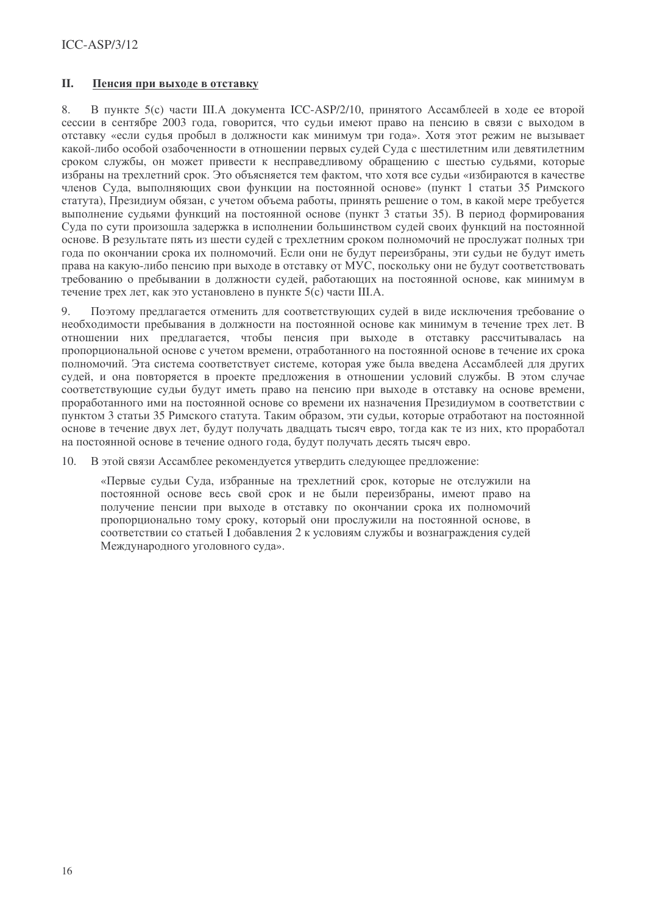#### **II.** Пенсия при выходе в отставку

 $8<sub>1</sub>$ В пункте 5(с) части Ш.А локумента ICC-ASP/2/10, принятого Ассамблеей в холе ее второй сессии в сентябре 2003 года, говорится, что судьи имеют право на пенсию в связи с выходом в отставку «если судья пробыл в должности как минимум три года». Хотя этот режим не вызывает какой-либо особой озабоченности в отношении первых судей Суда с шестилетним или девятилетним сроком службы, он может привести к несправелливому обращению с шестью сульями, которые избраны на трехлетний срок. Это объясняется тем фактом, что хотя все судьи «избираются в качестве членов Сула, выполняющих свои функции на постоянной основе» (пункт 1 статьи 35 Римского статута). Презилиум обязан, с учетом объема работы, принять решение о том, в какой мере требуется выполнение сульями функций на постоянной основе (пункт 3 статьи 35). В период формирования Суда по сути произошла задержка в исполнении большинством судей своих функций на постоянной основе. В результате пять из шести судей с трехлетним сроком полномочий не прослужат полных три года по окончании срока их полномочий. Если они не булут переизбраны, эти сульи не булут иметь права на какую-либо пенсию при выходе в отставку от МУС, поскольку они не будут соответствовать требованию о пребывании в должности судей, работающих на постоянной основе, как минимум в течение трех лет, как это установлено в пункте 5(с) части Ш.А.

 $\mathbf Q$ Поэтому предлагается отменить для соответствующих судей в виде исключения требование о необходимости пребывания в должности на постоянной основе как минимум в течение трех лет. В отношении них предлагается, чтобы пенсия при выходе в отставку рассчитывалась на пропорциональной основе с учетом времени, отработанного на постоянной основе в течение их срока полномочий. Эта система соответствует системе, которая уже была введена Ассамблеей для других судей, и она повторяется в проекте предложения в отношении условий службы. В этом случае соответствующие судьи будут иметь право на пенсию при выходе в отставку на основе времени. проработанного ими на постоянной основе со времени их назначения Президиумом в соответствии с пунктом 3 статьи 35 Римского статута. Таким образом, эти судьи, которые отработают на постоянной основе в течение двух лет, будут получать двадцать тысяч евро, тогда как те из них, кто проработал на постоянной основе в течение одного года, будут получать десять тысяч евро.

В этой связи Ассамблее рекомендуется утвердить следующее предложение: 10.

«Первые судьи Суда, избранные на трехлетний срок, которые не отслужили на постоянной основе весь свой срок и не были переизбраны, имеют право на получение пенсии при выходе в отставку по окончании срока их полномочий пропорционально тому сроку, который они прослужили на постоянной основе, в соответствии со статьей I добавления 2 к условиям службы и вознаграждения судей Международного уголовного суда».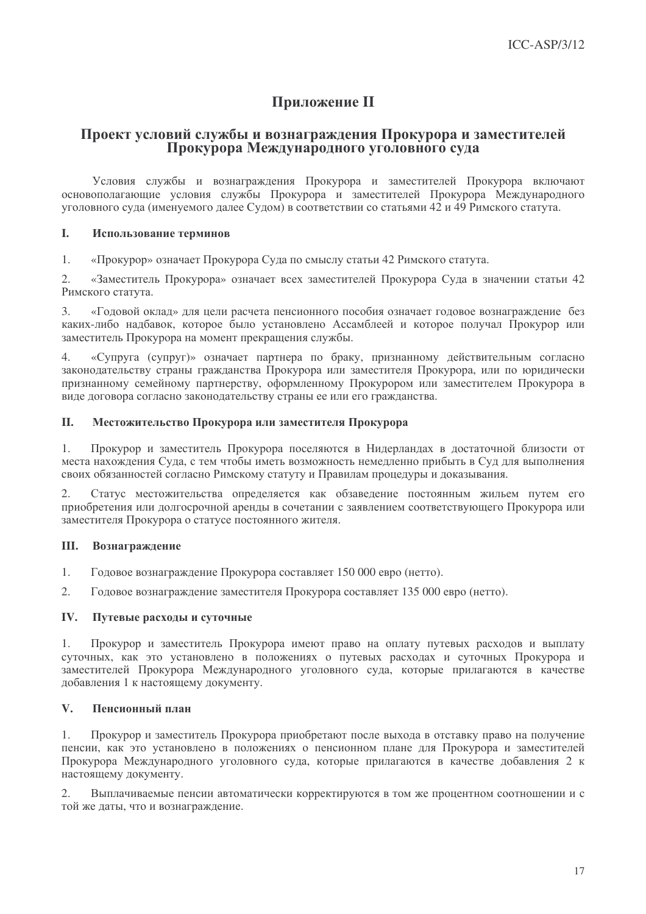# **Приложение II**

## Проект условий службы и вознаграждения Прокурора и заместителей Прокурора Международного уголовного суда

Условия службы и вознаграждения Прокурора и заместителей Прокурора включают основополагающие условия службы Прокурора и заместителей Прокурора Международного уголовного суда (именуемого далее Судом) в соответствии со статьями 42 и 49 Римского статута.

#### L. Использование терминов

 $\mathbf{1}$ «Прокурор» означает Прокурора Сула по смыслу статьи 42 Римского статута.

 $\mathcal{L}$ «Заместитель Прокурора» означает всех заместителей Прокурора Суда в значении статьи 42 Римского статута.

 $\mathcal{E}$ «Годовой оклад» для цели расчета пенсионного пособия означает годовое вознаграждение без каких-либо надбавок, которое было установлено Ассамблеей и которое получал Прокурор или заместитель Прокурора на момент прекращения службы.

«Супруга (супруг)» означает партнера по браку, признанному действительным согласно  $\mathcal{A}$ законодательству страны гражданства Прокурора или заместителя Прокурора, или по юридически признанному семейному партнерству, оформленному Прокурором или заместителем Прокурора в виде договора согласно законодательству страны ее или его гражданства.

#### II. Местожительство Прокурора или заместителя Прокурора

Прокурор и заместитель Прокурора поселяются в Нидерландах в достаточной близости от  $1.$ места нахождения Суда, с тем чтобы иметь возможность немедленно прибыть в Суд для выполнения своих обязанностей согласно Римскому статуту и Правилам процедуры и доказывания.

 $2.$ Статус местожительства определяется как обзаведение постоянным жильем путем его приобретения или долгосрочной аренды в сочетании с заявлением соответствующего Прокурора или заместителя Прокурора о статусе постоянного жителя.

#### III. Вознаграждение

- $1.$ Годовое вознаграждение Прокурора составляет 150 000 евро (нетто).
- $2.$ Годовое вознаграждение заместителя Прокурора составляет 135 000 евро (нетто).

#### IV. Путевые расходы и суточные

 $1.$ Прокурор и заместитель Прокурора имеют право на оплату путевых расходов и выплату суточных, как это установлено в положениях о путевых расходах и суточных Прокурора и заместителей Прокурора Международного уголовного суда, которые прилагаются в качестве добавления 1 к настоящему документу.

#### $\mathbf{V}$ . Пенсионный план

 $1<sub>1</sub>$ Прокурор и заместитель Прокурора приобретают после выхода в отставку право на получение пенсии, как это установлено в положениях о пенсионном плане для Прокурора и заместителей Прокурора Международного уголовного суда, которые прилагаются в качестве добавления 2 к настоящему документу.

Выплачиваемые пенсии автоматически корректируются в том же процентном соотношении и с 2. той же даты, что и вознаграждение.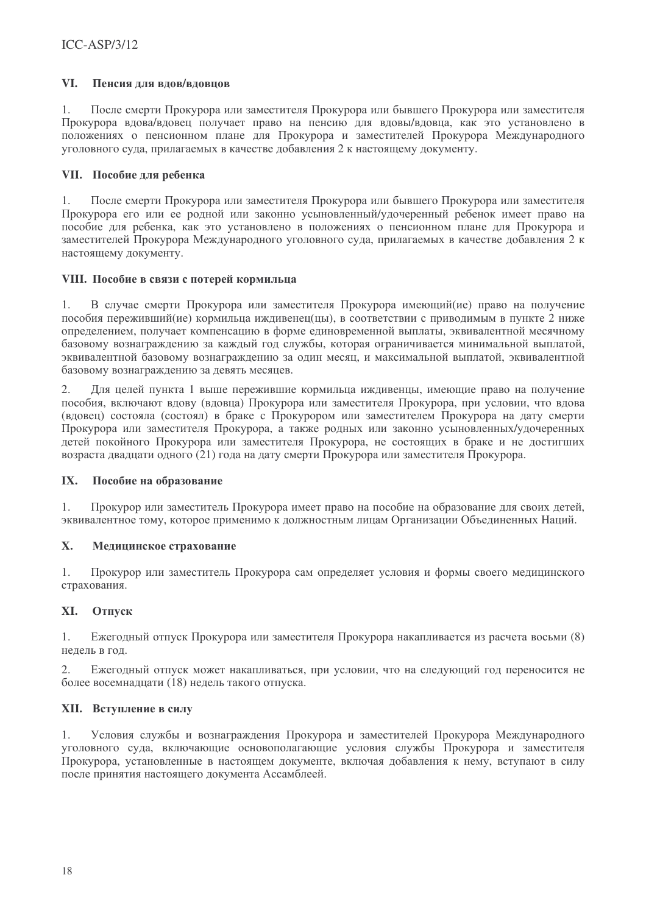#### VI. Пенсия лля влов/вловнов

 $1<sub>1</sub>$ После смерти Прокурора или заместителя Прокурора или бывшего Прокурора или заместителя Прокурора вдова/вдовец получает право на пенсию для вдовы/вдовца, как это установлено в положениях о пенсионном плане для Прокурора и заместителей Прокурора Международного уголовного суда, прилагаемых в качестве добавления 2 к настоящему документу.

## VII. Пособие для ребенка

После смерти Прокурора или заместителя Прокурора или бывшего Прокурора или заместителя  $1<sub>1</sub>$ Прокурора его или ее родной или законно усыновленный/удочеренный ребенок имеет право на пособие для ребенка, как это установлено в положениях о пенсионном плане для Прокурора и заместителей Прокурора Международного уголовного суда, прилагаемых в качестве добавления 2 к настоящему документу.

## VIII. Пособие в связи с потерей кормильца

 $1<sub>1</sub>$ В случае смерти Прокурора или заместителя Прокурора имеющий (ие) право на получение пособия переживший (ие) кормильна ижливенен (ны), в соответствии с приволимым в пункте 2 ниже определением, получает компенсацию в форме единовременной выплаты, эквивалентной месячному базовому вознаграждению за каждый год службы, которая ограничивается минимальной выплатой, эквивалентной базовому вознагражлению за один месяц, и максимальной выплатой, эквивалентной базовому вознаграждению за девять месяцев.

2. Для целей пункта 1 выше пережившие кормильца иждивенцы, имеющие право на получение пособия, включают вдову (вдовца) Прокурора или заместителя Прокурора, при условии, что вдова (вдовец) состояла (состоял) в браке с Прокурором или заместителем Прокурора на дату смерти Прокурора или заместителя Прокурора, а также родных или законно усыновленных/удочеренных детей покойного Прокурора или заместителя Прокурора, не состоящих в браке и не достигших возраста двадцати одного (21) года на дату смерти Прокурора или заместителя Прокурора.

#### IX. Пособие на образование

Прокурор или заместитель Прокурора имеет право на пособие на образование для своих детей,  $1.$ эквивалентное тому, которое применимо к должностным лицам Организации Объединенных Наций.

#### X. Медицинское страхование

Прокурор или заместитель Прокурора сам определяет условия и формы своего медицинского 1. страхования.

#### Отпуск XI.

Ежегодный отпуск Прокурора или заместителя Прокурора накапливается из расчета восьми (8)  $\mathbf{1}$ . недель в год.

Ежегодный отпуск может накапливаться, при условии, что на следующий год переносится не 2. более восемнадцати (18) недель такого отпуска.

## **XII.** Вступление в силу

Условия службы и вознаграждения Прокурора и заместителей Прокурора Международного 1. уголовного суда, включающие основополагающие условия службы Прокурора и заместителя Прокурора, установленные в настоящем документе, включая добавления к нему, вступают в силу после принятия настоящего документа Ассамблеей.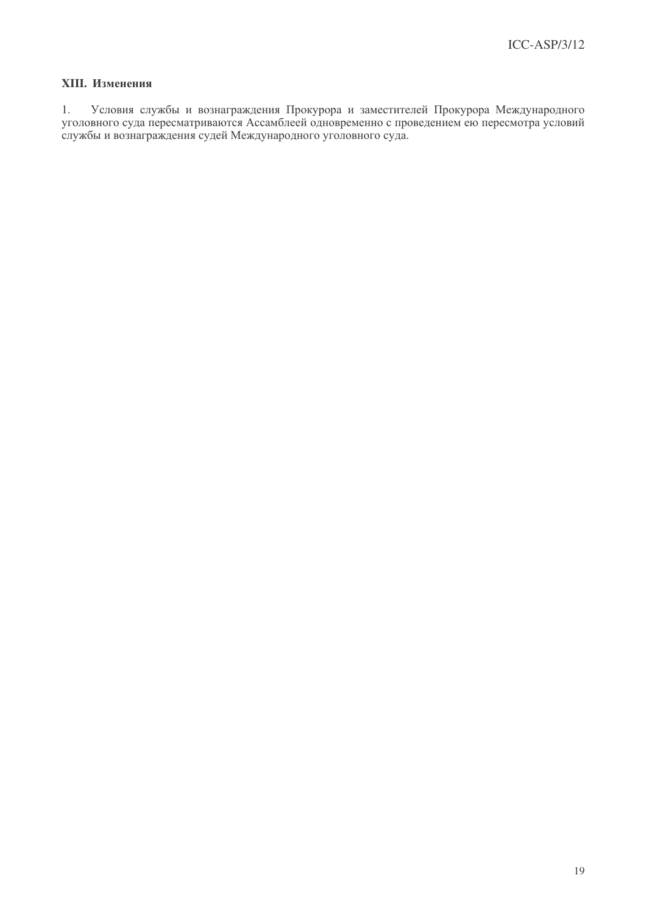## **XIII.** Изменения

1. Условия службы и вознаграждения Прокурора и заместителей Прокурора Международного уголовного суда пересматриваются Ассамблеей одновременно с проведением ею пересмотра условий службы и вознаграждения судей Международного уголовного суда.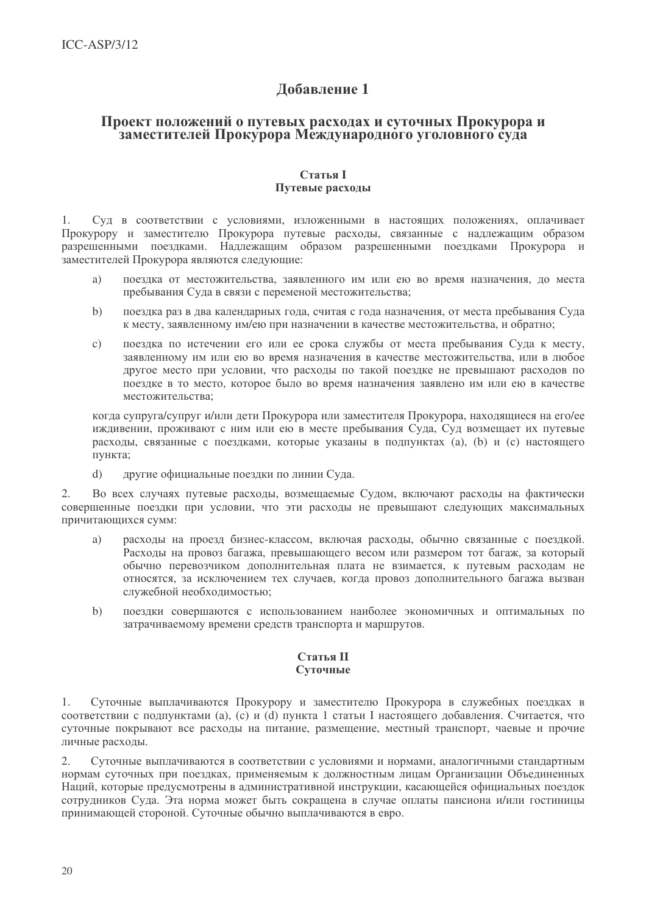# Лобавление 1

## Проект положений о путевых расходах и суточных Прокурора и заместителей Прокурора Международного уголовного суда

### **Статья I** Путевые расхолы

 $1<sub>1</sub>$ Суд в соответствии с условиями, изложенными в настоящих положениях, оплачивает Прокурору и заместителю Прокурора путевые расходы, связанные с надлежащим образом разрешенными поездками. Надлежащим образом разрешенными поездками Прокурора и заместителей Прокурора являются следующие:

- поездка от местожительства, заявленного им или ею во время назначения, до места a) пребывания Суда в связи с переменой местожительства:
- поездка раз в два календарных года, считая с года назначения, от места пребывания Суда  $h)$ к месту, заявленному им/ею при назначении в качестве местожительства, и обратно;
- поездка по истечении его или ее срока службы от места пребывания Суда к месту,  $\mathbf{c}$ ) заявленному им или ею во время назначения в качестве местожительства, или в любое другое место при условии, что расходы по такой поездке не превышают расходов по поездке в то место, которое было во время назначения заявлено им или ею в качестве местожительства:

когда супруга/супруг и/или дети Прокурора или заместителя Прокурора, находящиеся на его/ее иждивении, проживают с ним или ею в месте пребывания Суда, Суд возмещает их путевые расходы, связанные с поездками, которые указаны в подпунктах (а), (b) и (с) настоящего пункта;

другие официальные поездки по линии Суда.  $\mathrm{d}$ 

Во всех случаях путевые расходы, возмещаемые Судом, включают расходы на фактически  $2.$ совершенные поездки при условии, что эти расходы не превышают следующих максимальных причитающихся сумм:

- расходы на проезд бизнес-классом, включая расходы, обычно связанные с поездкой. a) Расходы на провоз багажа, превышающего весом или размером тот багаж, за который обычно перевозчиком дополнительная плата не взимается, к путевым расходам не относятся, за исключением тех случаев, когда провоз дополнительного багажа вызван служебной необходимостью;
- $b)$ поездки совершаются с использованием наиболее экономичных и оптимальных по затрачиваемому времени средств транспорта и маршрутов.

## **Статья II** Суточные

Суточные выплачиваются Прокурору и заместителю Прокурора в служебных поездках в  $1.$ соответствии с подпунктами (a), (c) и (d) пункта 1 статьи I настоящего добавления. Считается, что суточные покрывают все расходы на питание, размещение, местный транспорт, чаевые и прочие личные расходы.

Суточные выплачиваются в соответствии с условиями и нормами, аналогичными стандартным 2. нормам суточных при поездках, применяемым к должностным лицам Организации Объединенных Наций, которые предусмотрены в административной инструкции, касающейся официальных поездок сотрудников Суда. Эта норма может быть сокращена в случае оплаты пансиона и/или гостиницы принимающей стороной. Суточные обычно выплачиваются в евро.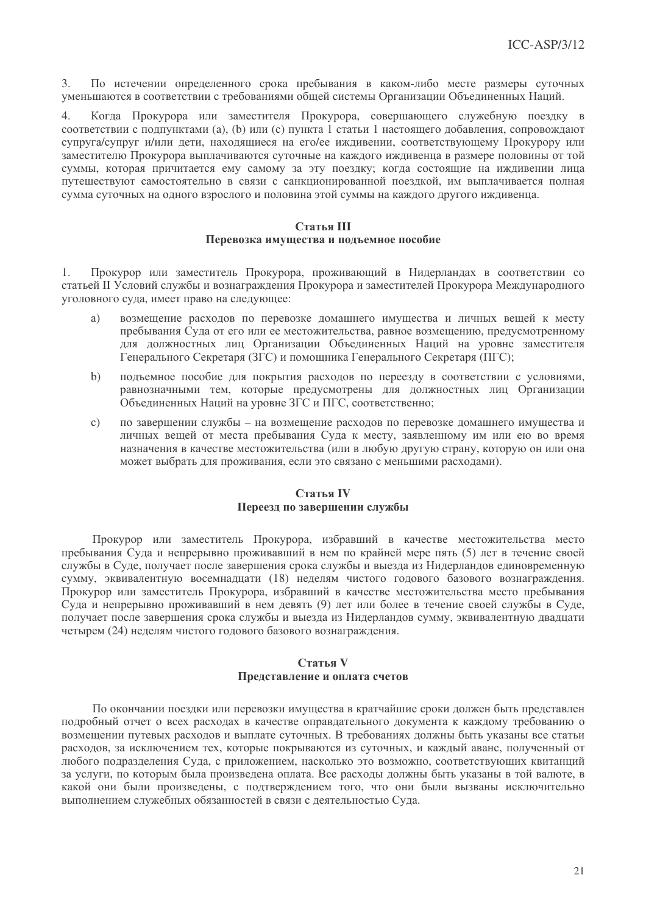По истечении определенного срока пребывания в каком-либо месте размеры суточных  $3<sup>2</sup>$ уменьшаются в соответствии с требованиями общей системы Организации Объединенных Наций.

Когда Прокурора или заместителя Прокурора, совершающего служебную поездку в  $\overline{4}$ соответствии с подпунктами (а), (b) или (с) пункта 1 статьи 1 настоящего добавления, сопровождают супруга/супруг и/или дети, находящиеся на его/ее иждивении, соответствующему Прокурору или заместителю Прокурора выплачиваются суточные на каждого иждивенца в размере половины от той суммы, которая причитается ему самому за эту поездку; когда состоящие на иждивении лица путешествуют самостоятельно в связи с санкционированной поездкой, им выплачивается полная сумма суточных на одного взрослого и половина этой суммы на каждого другого иждивенца.

### Статья III Перевозка имущества и подъемное пособие

Прокурор или заместитель Прокурора, проживающий в Нидерландах в соответствии со  $1<sub>1</sub>$ статьей II Условий службы и вознаграждения Прокурора и заместителей Прокурора Международного уголовного суда, имеет право на следующее:

- $a)$ возмещение расходов по перевозке домашнего имущества и личных вещей к месту пребывания Суда от его или ее местожительства, равное возмещению, предусмотренному лля должностных лиц Организации Объединенных Наций на уровне заместителя Генерального Секретаря (ЗГС) и помошника Генерального Секретаря (ПГС);
- $h)$ подъемное пособие для покрытия расходов по переезду в соответствии с условиями, равнозначными тем, которые предусмотрены для должностных лиц Организации Объединенных Наций на уровне ЗГС и ПГС, соответственно;
- $\mathbf{c})$ по завершении службы - на возмещение расходов по перевозке домашнего имущества и личных вещей от места пребывания Суда к месту, заявленному им или ею во время назначения в качестве местожительства (или в любую другую страну, которую он или она может выбрать для проживания, если это связано с меньшими расходами).

### Статья IV Переезд по завершении службы

Прокурор или заместитель Прокурора, избравший в качестве местожительства место пребывания Суда и непрерывно проживавший в нем по крайней мере пять (5) лет в течение своей службы в Суде, получает после завершения срока службы и выезда из Нидерландов единовременную сумму, эквивалентную восемнадцати (18) неделям чистого годового базового вознаграждения. Прокурор или заместитель Прокурора, избравший в качестве местожительства место пребывания Суда и непрерывно проживавший в нем девять (9) лет или более в течение своей службы в Суде, получает после завершения срока службы и выезда из Нидерландов сумму, эквивалентную двадцати четырем (24) неделям чистого годового базового вознаграждения.

## Статья V Представление и оплата счетов

По окончании поездки или перевозки имущества в кратчайшие сроки должен быть представлен подробный отчет о всех расходах в качестве оправдательного документа к каждому требованию о возмещении путевых расходов и выплате суточных. В требованиях должны быть указаны все статьи расходов, за исключением тех, которые покрываются из суточных, и каждый аванс, полученный от любого подразделения Суда, с приложением, насколько это возможно, соответствующих квитанций за услуги, по которым была произведена оплата. Все расходы должны быть указаны в той валюте, в какой они были произведены, с подтверждением того, что они были вызваны исключительно выполнением служебных обязанностей в связи с деятельностью Суда.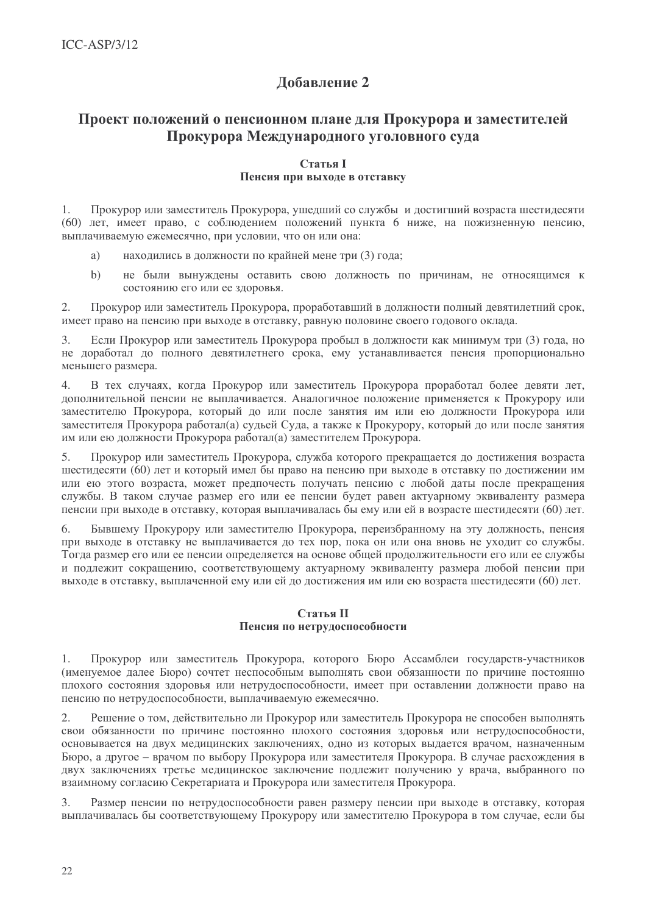# Лобавление 2

# Проект положений о пенсионном плане для Прокурора и заместителей Прокурора Международного уголовного суда

## **Статья I** Пенсия при выходе в отставку

 $1.$ Прокурор или заместитель Прокурора, ушедший со службы и достигший возраста шестидесяти (60) лет, имеет право, с соблюдением положений пункта 6 ниже, на пожизненную пенсию, выплачиваемую ежемесячно, при условии, что он или она:

- находились в должности по крайней мене три (3) года;  $a)$
- не были вынуждены оставить свою должность по причинам, не относящимся к  $b)$ состоянию его или ее здоровья.

 $2.$ Прокурор или заместитель Прокурора, проработавший в лолжности полный левятилетний срок, имеет право на пенсию при выходе в отставку, равную половине своего годового оклада.

Если Прокурор или заместитель Прокурора пробыл в должности как минимум три (3) года, но  $\overline{3}$ . не доработал до полного девятилетнего срока, ему устанавливается пенсия пропорционально меньшего размера.

В тех случаях, когда Прокурор или заместитель Прокурора проработал более девяти лет,  $\overline{4}$ . лополнительной пенсии не выплачивается. Аналогичное положение применяется к Прокурору или заместителю Прокурора, который до или после занятия им или ею должности Прокурора или заместителя Прокурора работал(а) сульей Сула, а также к Прокурору, который до или после занятия им или ею должности Прокурора работал(а) заместителем Прокурора.

 $5<sub>1</sub>$ Прокурор или заместитель Прокурора, служба которого прекрашается до достижения возраста шестилесяти (60) лет и который имел бы право на пенсию при выходе в отставку по достижении им или ею этого возраста, может предпочесть получать пенсию с любой даты после прекращения службы. В таком случае размер его или ее пенсии будет равен актуарному эквиваленту размера пенсии при выходе в отставку, которая выплачивалась бы ему или ей в возрасте шестидесяти (60) лет.

Бывшему Прокурору или заместителю Прокурора, переизбранному на эту должность, пенсия 6 при выходе в отставку не выплачивается до тех пор, пока он или она вновь не уходит со службы. Тогла размер его или ее пенсии опрелеляется на основе общей прололжительности его или ее службы и подлежит сокращению, соответствующему актуарному эквиваленту размера любой пенсии при выходе в отставку, выплаченной ему или ей до лостижения им или ею возраста шестидесяти (60) лет.

### Статья II Пенсия по нетрудоспособности

Прокурор или заместитель Прокурора, которого Бюро Ассамблеи государств-участников  $1<sub>1</sub>$ (именуемое далее Бюро) сочтет неспособным выполнять свои обязанности по причине постоянно плохого состояния здоровья или нетрудоспособности, имеет при оставлении должности право на пенсию по нетрудоспособности, выплачиваемую ежемесячно.

2. Решение о том, действительно ли Прокурор или заместитель Прокурора не способен выполнять свои обязанности по причине постоянно плохого состояния здоровья или нетрудоспособности, основывается на двух медицинских заключениях, одно из которых выдается врачом, назначенным Бюро, а другое – врачом по выбору Прокурора или заместителя Прокурора. В случае расхождения в двух заключениях третье медицинское заключение подлежит получению у врача, выбранного по взаимному согласию Секретариата и Прокурора или заместителя Прокурора.

Размер пенсии по нетрудоспособности равен размеру пенсии при выходе в отставку, которая 3. выплачивалась бы соответствующему Прокурору или заместителю Прокурора в том случае, если бы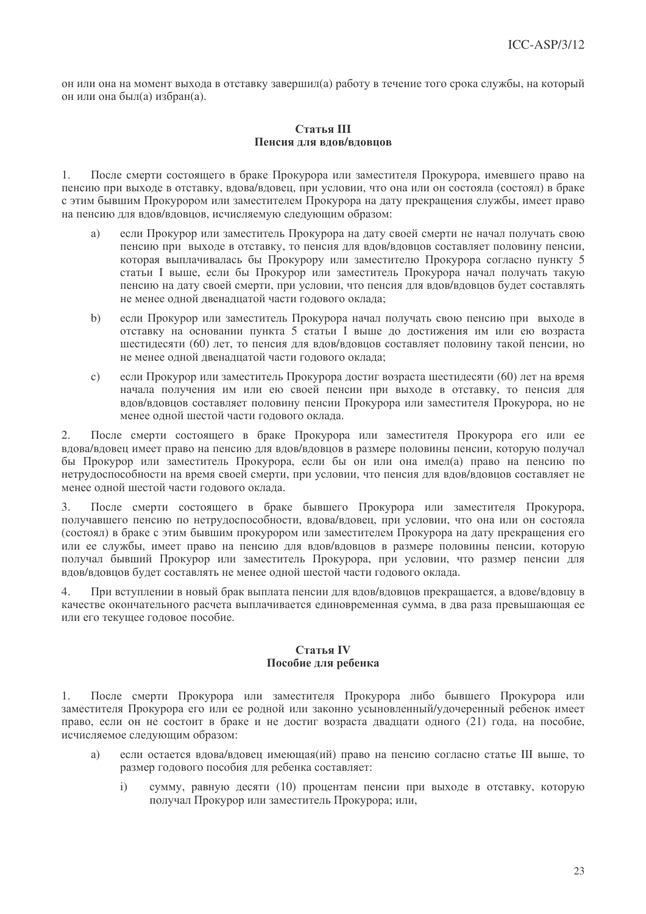он или она на момент выхода в отставку завершил(а) работу в течение того срока службы, на который он или она был(а) избран(а).

### Статья III Пенсия лля влов/вловнов

После смерти состоящего в браке Прокурора или заместителя Прокурора, имевшего право на  $1$ пенсию при выходе в отставку, вдова/вдовец, при условии, что она или он состояла (состоял) в браке с этим бывшим Прокурором или заместителем Прокурора на лату прекрашения службы, имеет право на пенсию для вдов/вдовнов, исчисляемую следующим образом:

- если Прокурор или заместитель Прокурора на лату своей смерти не начал получать свою  $\overline{a}$ ) пенсию при выходе в отставку, то пенсия для вдов/вдовцов составляет половину пенсии, которая выплачивалась бы Прокурору или заместителю Прокурора согласно пункту 5 статьи I выше, если бы Прокурор или заместитель Прокурора начал получать такую пенсию на дату своей смерти, при условии, что пенсия для вдов/вдовцов будет составлять не менее одной двеналиатой части годового оклада:
- $h)$ если Прокурор или заместитель Прокурора начал получать свою пенсию при выходе в отставку на основании пункта 5 статьи I выше до достижения им или ею возраста шестилесяти (60) лет, то пенсия лля влов/вловнов составляет половину такой пенсии, но не менее одной двеналиатой части годового оклада:
- если Прокурор или заместитель Прокурора достиг возраста шестилесяти (60) лет на время  $c)$ начала получения им или ею своей пенсии при выходе в отставку, то пенсия для вдов/вдовцов составляет половину пенсии Прокурора или заместителя Прокурора, но не менее одной шестой части годового оклада.

После смерти состоящего в браке Прокурора или заместителя Прокурора его или ее  $2.$ вдова/вдовец имеет право на пенсию для вдов/вдовцов в размере половины пенсии, которую получал бы Прокурор или заместитель Прокурора, если бы он или она имел(а) право на пенсию по нетрудоспособности на время своей смерти, при условии, что пенсия для вдов/вдовцов составляет не менее одной шестой части годового оклада.

После смерти состоящего в браке бывшего Прокурора или заместителя Прокурора,  $\mathcal{E}$ получавшего пенсию по нетрудоспособности, вдова/вдовец, при условии, что она или он состояла (состоял) в браке с этим бывшим прокурором или заместителем Прокурора на дату прекращения его или ее службы, имеет право на пенсию для вдов/вдовцов в размере половины пенсии, которую получал бывший Прокурор или заместитель Прокурора, при условии, что размер пенсии для вдов/вдовцов будет составлять не менее одной шестой части годового оклада.

 $\overline{4}$ . При вступлении в новый брак выплата пенсии для вдов/вдовцов прекращается, а вдове/вдовцу в качестве окончательного расчета выплачивается единовременная сумма, в два раза превышающая ее или его текущее годовое пособие.

## Статья IV Пособие для ребенка

 $1.$ После смерти Прокурора или заместителя Прокурора либо бывшего Прокурора или заместителя Прокурора его или ее родной или законно усыновленный/удочеренный ребенок имеет право, если он не состоит в браке и не достиг возраста двадцати одного (21) года, на пособие, исчисляемое следующим образом:

- если остается вдова/вдовец имеющая(ий) право на пенсию согласно статье III выше, то a) размер годового пособия для ребенка составляет:
	- $\mathbf{i}$ сумму, равную десяти (10) процентам пенсии при выходе в отставку, которую получал Прокурор или заместитель Прокурора; или,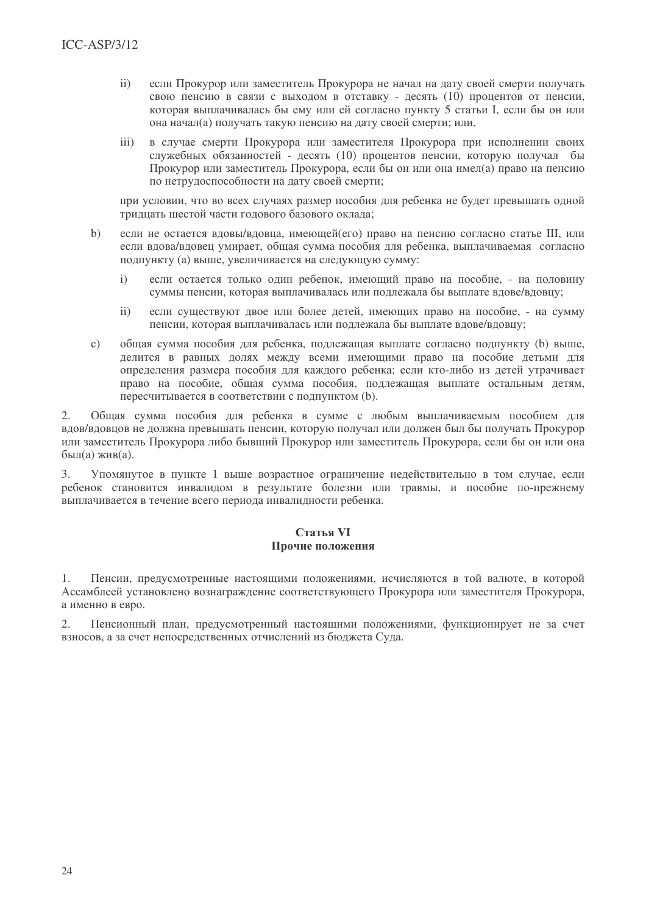- $\mathbf{ii}$ если Прокурор или заместитель Прокурора не начал на дату своей смерти получать свою пенсию в связи с выходом в отставку - десять (10) процентов от пенсии, которая выплачивалась бы ему или ей согласно пункту 5 статьи I, если бы он или она начал(а) получать такую пенсию на дату своей смерти; или,
- в случае смерти Прокурора или заместителя Прокурора при исполнении своих  $\overline{111}$ служебных обязанностей - десять (10) процентов пенсии, которую получал бы Прокурор или заместитель Прокурора, если бы он или она имел(а) право на пенсию по нетрудоспособности на дату своей смерти;

при условии, что во всех случаях размер пособия для ребенка не будет превышать одной трилцать шестой части голового базового оклала:

- $h)$ если не остается вловы/вловца, имеющей(его) право на пенсию согласно статье III, или если влова/вловец умирает, общая сумма пособия для ребенка, выплачиваемая согласно полпункту (а) выше, увеличивается на следующую сумму:
	- если остается только один ребенок, имеющий право на пособие, на половину  $\mathbf{i}$ суммы пенсии, которая выплачивалась или поллежала бы выплате влове/вловиу;
	- если существуют двое или более детей, имеющих право на пособие, на сумму  $\mathbf{ii}$ пенсии, которая выплачивалась или подлежала бы выплате вдове/вдовцу;
- обшая сумма пособия для ребенка, подлежащая выплате согласно подпункту (b) выше,  $\mathbf{c}$ ) лелится в равных лолях межлу всеми имеющими право на пособие летьми для определения размера пособия для каждого ребенка; если кто-либо из детей утрачивает право на пособие, общая сумма пособия, подлежащая выплате остальным детям, пересчитывается в соответствии с подпунктом (b).

 $2.$ Общая сумма пособия для ребенка в сумме с любым выплачиваемым пособием для вдов/вдовцов не должна превышать пенсии, которую получал или должен был бы получать Прокурор или заместитель Прокурора либо бывший Прокурор или заместитель Прокурора, если бы он или она  $6$ ыл $(a)$  жив $(a)$ .

 $3.$ Упомянутое в пункте 1 выше возрастное ограничение недействительно в том случае, если ребенок становится инвалидом в результате болезни или травмы, и пособие по-прежнему выплачивается в течение всего периода инвалидности ребенка.

## Статья VI Прочие положения

Пенсии, предусмотренные настоящими положениями, исчисляются в той валюте, в которой 1. Ассамблеей установлено вознаграждение соответствующего Прокурора или заместителя Прокурора, а именно в евро.

2. Пенсионный план, предусмотренный настоящими положениями, функционирует не за счет взносов, а за счет непосредственных отчислений из бюджета Суда.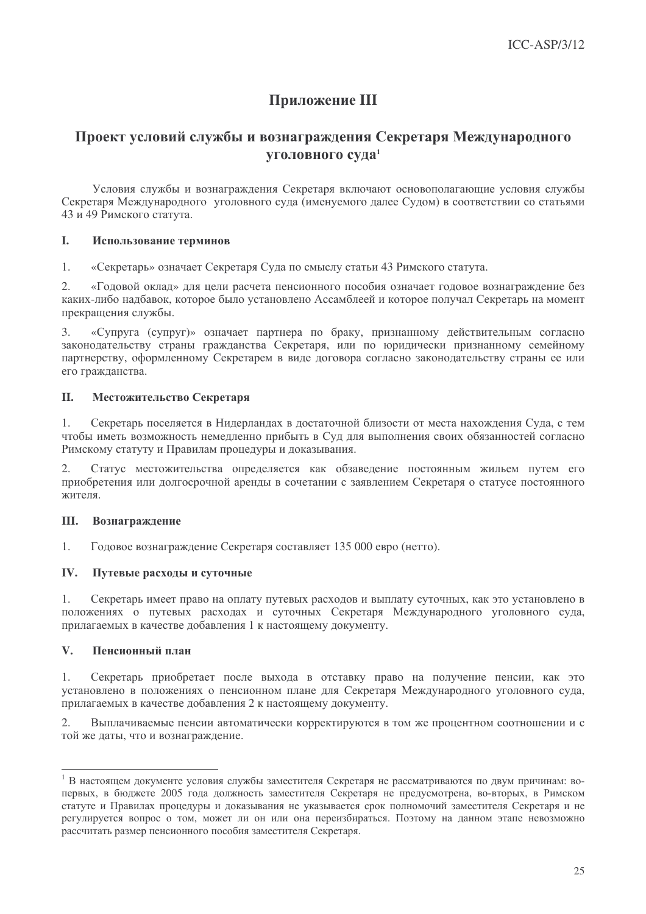# Приложение III

# Проект условий службы и вознаграждения Секретаря Международного **УГОЛОВНОГО СУДА<sup>1</sup>**

Условия службы и вознаграждения Секретаря включают основополагающие условия службы Секретаря Международного уголовного суда (именуемого далее Судом) в соответствии со статьями 43 и 49 Римского статута.

#### I. Использование терминов

 $1.$ «Секретарь» означает Секретаря Суда по смыслу статьи 43 Римского статута.

 $2.$ «Годовой оклад» для цели расчета пенсионного пособия означает годовое вознаграждение без каких-либо надбавок, которое было установлено Ассамблеей и которое получал Секретарь на момент прекращения службы.

«Супруга (супруг)» означает партнера по браку, признанному действительным согласно 3. законодательству страны гражданства Секретаря, или по юридически признанному семейному партнерству, оформленному Секретарем в виде договора согласно законодательству страны ее или его гражданства.

#### II. Местожительство Секретаря

 $1.$ Секретарь поселяется в Нилерландах в достаточной близости от места нахождения Суда, с тем чтобы иметь возможность немедленно прибыть в Суд для выполнения своих обязанностей согласно Римскому статуту и Правилам процедуры и доказывания.

 $2.$ Статус местожительства определяется как обзаведение постоянным жильем путем его приобретения или долгосрочной аренды в сочетании с заявлением Секретаря о статусе постоянного жителя.

#### III. Вознаграждение

 $1.$ Годовое вознаграждение Секретаря составляет 135 000 евро (нетто).

#### IV. Путевые расходы и суточные

 $1.$ Секретарь имеет право на оплату путевых расходов и выплату суточных, как это установлено в положениях о путевых расходах и суточных Секретаря Международного уголовного суда, прилагаемых в качестве добавления 1 к настоящему документу.

#### $V_{\bullet}$ Пенсионный план

 $1.$ Секретарь приобретает после выхода в отставку право на получение пенсии, как это установлено в положениях о пенсионном плане для Секретаря Международного уголовного суда, прилагаемых в качестве добавления 2 к настоящему документу.

Выплачиваемые пенсии автоматически корректируются в том же процентном соотношении и с 2. той же даты, что и вознаграждение.

<sup>&</sup>lt;sup>1</sup> В настоящем документе условия службы заместителя Секретаря не рассматриваются по двум причинам: вопервых, в бюджете 2005 года должность заместителя Секретаря не предусмотрена, во-вторых, в Римском статуте и Правилах процедуры и доказывания не указывается срок полномочий заместителя Секретаря и не регулируется вопрос о том, может ли он или она переизбираться. Поэтому на данном этапе невозможно рассчитать размер пенсионного пособия заместителя Секретаря.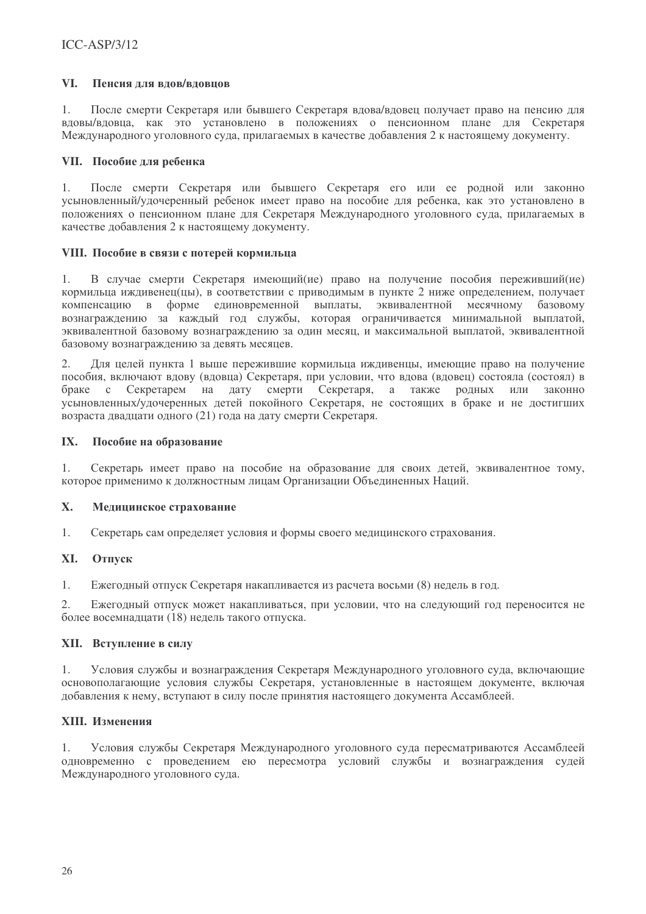#### VI. Пенсия лля влов/вловнов

 $1<sub>1</sub>$ После смерти Секретаря или бывшего Секретаря влова/вловец получает право на пенсию для вдовы/вдовца, как это установлено в положениях о пенсионном плане для Секретаря Международного уголовного суда, прилагаемых в качестве добавления 2 к настоящему документу.

## VII. Пособие для ребенка

 $1$ После смерти Секретаря или бывшего Секретаря его или ее родной или законно усыновленный/удочеренный ребенок имеет право на пособие для ребенка, как это установлено в положениях о пенсионном плане для Секретаря Международного уголовного суда, прилагаемых в качестве добавления 2 к настоящему документу.

## VIII. Пособие в связи с потерей кормильца

 $1.$ В случае смерти Секретаря имеющий(ие) право на получение пособия переживший(ие) кормильца ижливенец (цы), в соответствии с приволимым в пункте 2 ниже определением, получает компенсацию в форме единовременной выплаты, эквивалентной месячному базовому<br>вознаграждению за каждый год службы, которая ограничивается минимальной выплатой, эквивалентной базовому вознагражлению за один месяц, и максимальной выплатой, эквивалентной базовому вознаграждению за девять месяцев.

Лля нелей пункта 1 выше пережившие кормильна иждивенны, имеющие право на получение  $2.$ пособия, включают вдову (вдовца) Секретаря, при условии, что вдова (вдовец) состояла (состоял) в браке с Секретарем на лату смерти Секретаря, а также родных или законно усыновленных/удочеренных детей покойного Секретаря, не состоящих в браке и не достигших возраста двадцати одного (21) года на дату смерти Секретаря.

#### IX. Пособие на образование

1. Секретарь имеет право на пособие на образование для своих детей, эквивалентное тому, которое применимо к должностным лицам Организации Объединенных Наций.

#### $\mathbf{X}$ . Медицинское страхование

 $1.$ Секретарь сам определяет условия и формы своего медицинского страхования.

#### Отпуск XI.

 $1.$ Ежегодный отпуск Секретаря накапливается из расчета восьми (8) недель в год.

2. Ежегодный отпуск может накапливаться, при условии, что на следующий год переносится не более восемнадцати (18) недель такого отпуска.

## **XII.** Вступление в силу

 $1.$ Условия службы и вознаграждения Секретаря Международного уголовного суда, включающие основополагающие условия службы Секретаря, установленные в настоящем документе, включая добавления к нему, вступают в силу после принятия настоящего документа Ассамблеей.

## **XIII.** Изменения

 $1.$ Условия службы Секретаря Международного уголовного суда пересматриваются Ассамблеей одновременно с проведением ею пересмотра условий службы и вознаграждения судей Международного уголовного суда.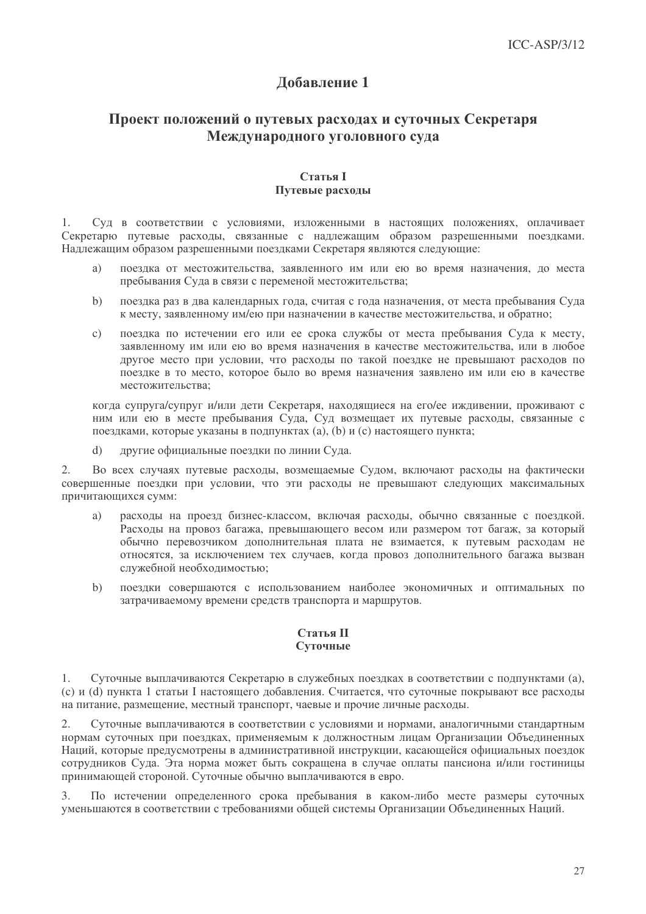# Лобавление 1

# Проект положений о путевых расходах и суточных Секретаря Международного уголовного суда

### **Статья I** Путевые расходы

Сул в соответствии с условиями, изложенными в настоящих положениях, оплачивает  $\mathbf{1}$ Секретарю путевые расходы, связанные с надлежащим образом разрешенными поездками. Надлежащим образом разрешенными поездками Секретаря являются следующие:

- поездка от местожительства, заявленного им или ею во время назначения, до места  $a)$ пребывания Суда в связи с переменой местожительства:
- поездка раз в два календарных года, считая с года назначения, от места пребывания Суда  $h)$ к месту, заявленному им/ею при назначении в качестве местожительства, и обратно:
- $c)$ поездка по истечении его или ее срока службы от места пребывания Суда к месту, заявленному им или ею во время назначения в качестве местожительства, или в любое лругое место при условии, что расхолы по такой поездке не превышают расходов по поездке в то место, которое было во время назначения заявлено им или ею в качестве местожительства:

когда супруга/супруг и/или дети Секретаря, находящиеся на его/ее иждивении, проживают с ним или ею в месте пребывания Суда, Суд возмещает их путевые расходы, связанные с поездками, которые указаны в подпунктах (а), (b) и (с) настоящего пункта;

лругие официальные поезлки по линии Сула.  $\mathbf{d}$ 

Во всех случаях путевые расхолы, возмешаемые Судом, включают расхолы на фактически  $\mathfrak{2}$ . совершенные поездки при условии, что эти расходы не превышают следующих максимальных причитающихся сумм:

- расходы на проезд бизнес-классом, включая расходы, обычно связанные с поездкой.  $a)$ Расходы на провоз багажа, превышающего весом или размером тот багаж, за который обычно перевозчиком дополнительная плата не взимается, к путевым расходам не относятся, за исключением тех случаев, когда провоз дополнительного багажа вызван служебной необходимостью:
- поездки совершаются с использованием наиболее экономичных и оптимальных по  $b)$ затрачиваемому времени средств транспорта и маршрутов.

## Статья II Суточные

Суточные выплачиваются Секретарю в служебных поездках в соответствии с подпунктами (а),  $1<sup>1</sup>$ (c) и (d) пункта 1 статьи I настоящего добавления. Считается, что суточные покрывают все расходы на питание, размещение, местный транспорт, чаевые и прочие личные расходы.

Суточные выплачиваются в соответствии с условиями и нормами, аналогичными стандартным 2. нормам суточных при поездках, применяемым к должностным лицам Организации Объединенных Наций, которые предусмотрены в административной инструкции, касающейся официальных поездок сотрудников Суда. Эта норма может быть сокращена в случае оплаты пансиона и/или гостиницы принимающей стороной. Суточные обычно выплачиваются в евро.

По истечении определенного срока пребывания в каком-либо месте размеры суточных 3. уменьшаются в соответствии с требованиями общей системы Организации Объединенных Наций.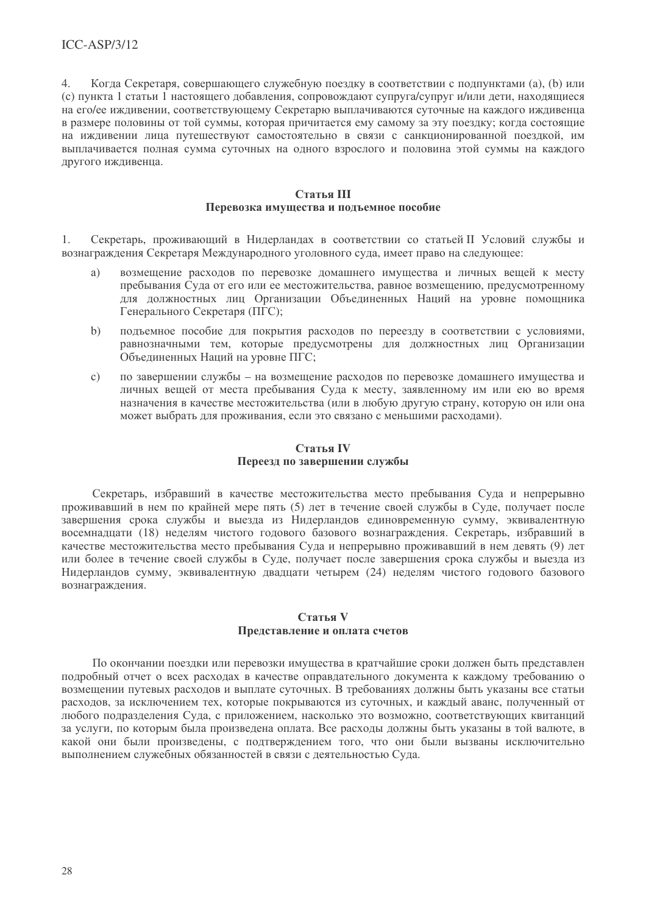$\overline{4}$ . Когда Секретаря, совершающего служебную поездку в соответствии с подпунктами (а), (b) или (c) пункта 1 статьи 1 настоящего лобавления, сопровождают супруга/супруг и/или дети, находящиеся на его/ее ижливении, соответствующему Секретарю выплачиваются суточные на каждого ижливенца в размере половины от той суммы, которая причитается ему самому за эту поездку; когда состоящие на иждивении лица путешествуют самостоятельно в связи с санкционированной поездкой, им выплачивается полная сумма суточных на одного взрослого и половина этой суммы на каждого другого иждивенца.

### Статья III Перевозка имущества и подъемное пособие

 $1<sub>1</sub>$ Секретарь, проживающий в Нидерландах в соответствии со статьей II Условий службы и вознаграждения Секретаря Международного уголовного суда, имеет право на следующее:

- a) возмещение расходов по перевозке домашнего имущества и личных вещей к месту пребывания Суда от его или ее местожительства, равное возмещению, предусмотренному лля должностных лиц Организации Объединенных Наций на уровне помощника Генерального Секретаря (ПГС);
- подъемное пособие для покрытия расходов по переезду в соответствии с условиями,  $b)$ равнозначными тем, которые предусмотрены для должностных лиц Организации Объединенных Наций на уровне ПГС;
- $c)$ по завершении службы - на возмещение расходов по перевозке домашнего имущества и личных вещей от места пребывания Суда к месту, заявленному им или ею во время назначения в качестве местожительства (или в любую другую страну, которую он или она может выбрать для проживания, если это связано с меньшими расходами).

## Статья IV Переезд по завершении службы

Секретарь, избравший в качестве местожительства место пребывания Суда и непрерывно проживавший в нем по крайней мере пять (5) лет в течение своей службы в Суде, получает после завершения срока службы и выезда из Нидерландов единовременную сумму, эквивалентную восемнадцати (18) неделям чистого годового базового вознаграждения. Секретарь, избравший в качестве местожительства место пребывания Суда и непрерывно проживавший в нем девять (9) лет или более в течение своей службы в Суде, получает после завершения срока службы и выезда из Нидерландов сумму, эквивалентную двадцати четырем (24) неделям чистого годового базового вознаграждения.

### Статья V Представление и оплата счетов

По окончании поездки или перевозки имущества в кратчайшие сроки должен быть представлен подробный отчет о всех расходах в качестве оправдательного документа к каждому требованию о возмещении путевых расходов и выплате суточных. В требованиях должны быть указаны все статьи расходов, за исключением тех, которые покрываются из суточных, и каждый аванс, полученный от любого подразделения Суда, с приложением, насколько это возможно, соответствующих квитанций за услуги, по которым была произведена оплата. Все расходы должны быть указаны в той валюте, в какой они были произведены, с подтверждением того, что они были вызваны исключительно выполнением служебных обязанностей в связи с деятельностью Суда.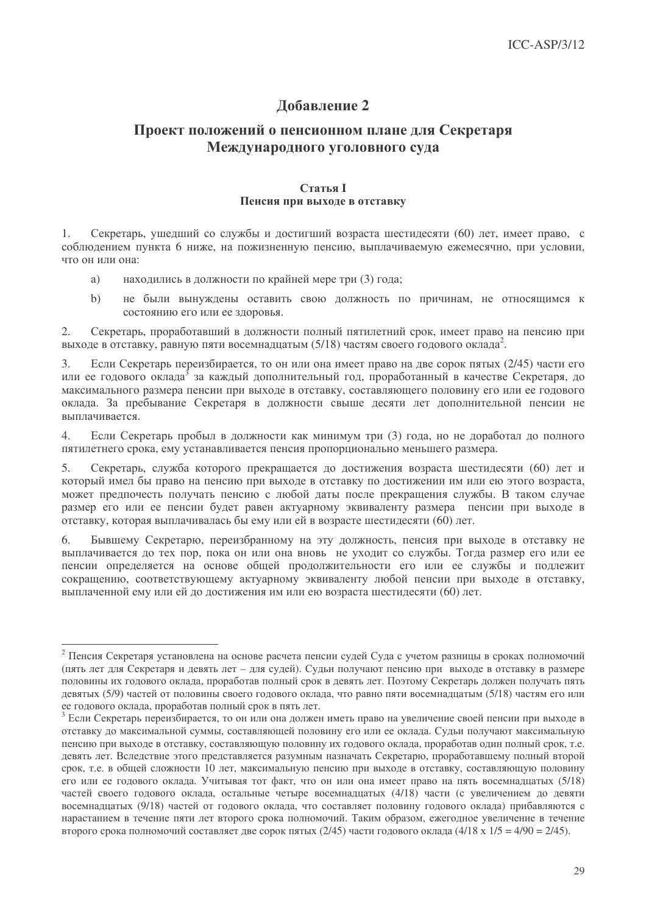# Добавление 2

# Проект положений о пенсионном плане для Секретаря Международного уголовного суда

### **Статья I** Пенсия при выходе в отставку

Секретарь, ушедший со службы и достигший возраста шестидесяти (60) лет, имеет право, с  $\mathbf{1}$ . соблюдением пункта 6 ниже, на пожизненную пенсию, выплачиваемую ежемесячно, при условии, что он или она:

- находились в должности по крайней мере три (3) года; a)
- не были вынуждены оставить свою должность по причинам, не относящимся к  $h)$ состоянию его или ее здоровья.

 $\overline{2}$ . Секретарь, проработавший в должности полный пятилетний срок, имеет право на пенсию при выходе в отставку, равную пяти восемнадцатым (5/18) частям своего годового оклада<sup>2</sup>.

Если Секретарь переизбирается, то он или она имеет право на две сорок пятых (2/45) части его 3. или ее годового оклада<sup>3</sup> за каждый дополнительный год, проработанный в качестве Секретаря, до максимального размера пенсии при выходе в отставку, составляющего половину его или ее годового оклада. За пребывание Секретаря в должности свыше десяти лет дополнительной пенсии не выплачивается.

 $\overline{4}$ Если Секретарь пробыл в лолжности как минимум три (3) гола, но не лоработал ло полного пятилетнего срока, ему устанавливается пенсия пропорционально меньшего размера.

5. Секретарь, служба которого прекращается до достижения возраста шестидесяти (60) лет и который имел бы право на пенсию при выходе в отставку по достижении им или ею этого возраста, может предпочесть получать пенсию с любой даты после прекращения службы. В таком случае размер его или ее пенсии будет равен актуарному эквиваленту размера пенсии при выходе в отставку, которая выплачивалась бы ему или ей в возрасте шестидесяти (60) лет.

6. Бывшему Секретарю, переизбранному на эту должность, пенсия при выходе в отставку не выплачивается до тех пор, пока он или она вновь не уходит со службы. Тогда размер его или ее пенсии определяется на основе общей продолжительности его или ее службы и подлежит сокращению, соответствующему актуарному эквиваленту любой пенсии при выходе в отставку, выплаченной ему или ей до достижения им или ею возраста шестидесяти (60) лет.

<sup>&</sup>lt;sup>2</sup> Пенсия Секретаря установлена на основе расчета пенсии судей Суда с учетом разницы в сроках полномочий (пять лет для Секретаря и девять лет - для судей). Судьи получают пенсию при выходе в отставку в размере половины их годового оклада, проработав полный срок в девять лет. Поэтому Секретарь должен получать пять девятых (5/9) частей от половины своего годового оклада, что равно пяти восемнадцатым (5/18) частям его или ее годового оклада, проработав полный срок в пять лет.

<sup>3</sup> Если Секретарь переизбирается, то он или она должен иметь право на увеличение своей пенсии при выходе в отставку до максимальной суммы, составляющей половину его или ее оклада. Судьи получают максимальную пенсию при выходе в отставку, составляющую половину их годового оклада, проработав один полный срок, т.е. девять лет. Вследствие этого представляется разумным назначать Секретарю, проработавшему полный второй срок, т.е. в общей сложности 10 лет, максимальную пенсию при выходе в отставку, составляющую половину его или ее годового оклада. Учитывая тот факт, что он или она имеет право на пять восемнадцатых (5/18) частей своего годового оклада, остальные четыре восемнадцатых (4/18) части (с увеличением до девяти восемнадцатых (9/18) частей от годового оклада, что составляет половину годового оклада) прибавляются с нарастанием в течение пяти лет второго срока полномочий. Таким образом, ежегодное увеличение в течение второго срока полномочий составляет две сорок пятых (2/45) части годового оклада (4/18 х 1/5 = 4/90 = 2/45).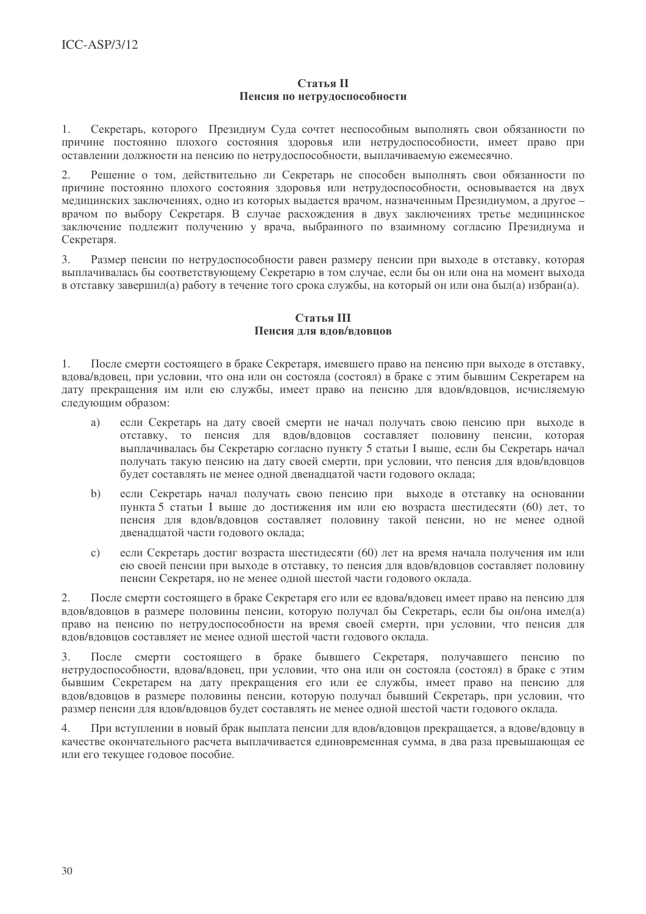## Статья II Пенсия по нетрудоспособности

Секретарь, которого Президиум Суда сочтет неспособным выполнять свои обязанности по  $1$ причине постоянно плохого состояния здоровья или нетрудоспособности, имеет право при оставлении должности на пенсию по нетрудоспособности, выплачиваемую ежемесячно.

Решение о том, действительно ли Секретарь не способен выполнять свои обязанности по  $2^{\circ}$ причине постоянно плохого состояния злоровья или нетрулоспособности, основывается на лвух мелицинских заключениях, одно из которых вылается врачом, назначенным Президиумом, а другое врачом по выбору Секретаря. В случае расхождения в двух заключениях третье мелицинское заключение подлежит получению у врача, выбранного по взаимному согласию Президиума и Секретаря.

 $3<sub>1</sub>$ Размер пенсии по нетрудоспособности равен размеру пенсии при выходе в отставку, которая выплачивалась бы соответствующему Секретарю в том случае, если бы он или она на момент выхода в отставку завершил(а) работу в течение того срока службы, на который он или она был(а) избран(а).

## Статья III Пенсия лля влов/вловнов

После смерти состоящего в браке Секретаря, имевшего право на пенсию при выходе в отставку,  $1<sup>1</sup>$ влова/вловец, при условии, что она или он состояла (состоял) в браке с этим бывшим Секретарем на лату прекрашения им или ею службы, имеет право на пенсию для вдов/вловцов, исчисляемую следующим образом:

- если Секретарь на дату своей смерти не начал получать свою пенсию при выходе в  $a)$ отставку, то пенсия для влов/вловнов составляет половину пенсии, которая выплачивалась бы Секретарю согласно пункту 5 статьи I выше, если бы Секретарь начал получать такую пенсию на дату своей смерти, при условии, что пенсия для вдов/вдовцов будет составлять не менее одной двенадцатой части годового оклада;
- если Секретарь начал получать свою пенсию при выходе в отставку на основании  $b)$ пункта 5 статьи I выше до достижения им или ею возраста шестидесяти (60) лет, то пенсия для вдов/вдовцов составляет половину такой пенсии, но не менее одной двенадцатой части годового оклада;
- если Секретарь достиг возраста шестидесяти (60) лет на время начала получения им или  $\mathbf{c})$ ею своей пенсии при выходе в отставку, то пенсия для вдов/вдовцов составляет половину пенсии Секретаря, но не менее одной шестой части годового оклада.

2. После смерти состоящего в браке Секретаря его или ее вдова/вдовец имеет право на пенсию для вдов/вдовцов в размере половины пенсии, которую получал бы Секретарь, если бы он/она имел(а) право на пенсию по нетрудоспособности на время своей смерти, при условии, что пенсия для вдов/вдовцов составляет не менее одной шестой части годового оклада.

После смерти состоящего в браке бывшего Секретаря, получавшего пенсию по 3. нетрудоспособности, вдова/вдовец, при условии, что она или он состояла (состоял) в браке с этим бывшим Секретарем на дату прекращения его или ее службы, имеет право на пенсию для вдов/вдовцов в размере половины пенсии, которую получал бывший Секретарь, при условии, что размер пенсии для вдов/вдовцов будет составлять не менее одной шестой части годового оклада.

 $\overline{4}$ . При вступлении в новый брак выплата пенсии для вдов/вдовцов прекращается, а вдове/вдовцу в качестве окончательного расчета выплачивается единовременная сумма, в два раза превышающая ее или его текущее годовое пособие.